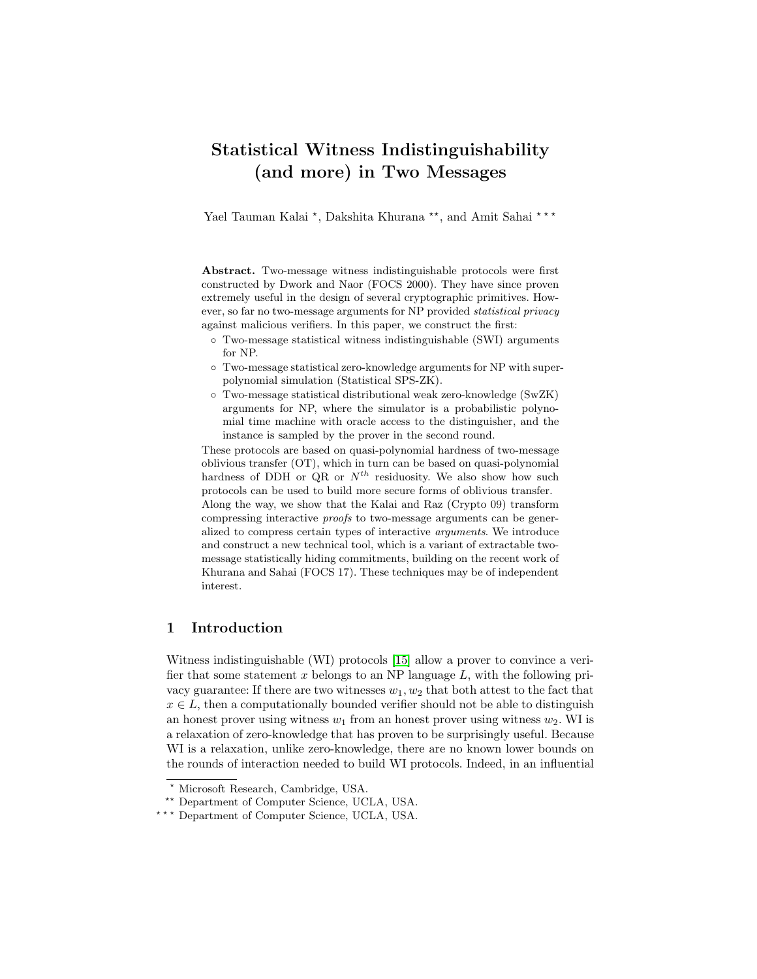# Statistical Witness Indistinguishability (and more) in Two Messages

Yael Tauman Kalai $^{\star},$  Dakshita Khurana $^{\star\star},$  and Amit Sahai $^{\star\,\star\,\star}$ 

Abstract. Two-message witness indistinguishable protocols were first constructed by Dwork and Naor (FOCS 2000). They have since proven extremely useful in the design of several cryptographic primitives. However, so far no two-message arguments for NP provided statistical privacy against malicious verifiers. In this paper, we construct the first:

- Two-message statistical witness indistinguishable (SWI) arguments for NP.
- Two-message statistical zero-knowledge arguments for NP with superpolynomial simulation (Statistical SPS-ZK).
- Two-message statistical distributional weak zero-knowledge (SwZK) arguments for NP, where the simulator is a probabilistic polynomial time machine with oracle access to the distinguisher, and the instance is sampled by the prover in the second round.

These protocols are based on quasi-polynomial hardness of two-message oblivious transfer (OT), which in turn can be based on quasi-polynomial hardness of DDH or QR or  $N^{th}$  residuosity. We also show how such protocols can be used to build more secure forms of oblivious transfer. Along the way, we show that the Kalai and Raz (Crypto 09) transform compressing interactive proofs to two-message arguments can be generalized to compress certain types of interactive arguments. We introduce and construct a new technical tool, which is a variant of extractable twomessage statistically hiding commitments, building on the recent work of Khurana and Sahai (FOCS 17). These techniques may be of independent interest.

# 1 Introduction

Witness indistinguishable (WI) protocols [\[15\]](#page-30-0) allow a prover to convince a verifier that some statement x belongs to an NP language  $L$ , with the following privacy guarantee: If there are two witnesses  $w_1, w_2$  that both attest to the fact that  $x \in L$ , then a computationally bounded verifier should not be able to distinguish an honest prover using witness  $w_1$  from an honest prover using witness  $w_2$ . WI is a relaxation of zero-knowledge that has proven to be surprisingly useful. Because WI is a relaxation, unlike zero-knowledge, there are no known lower bounds on the rounds of interaction needed to build WI protocols. Indeed, in an influential

<sup>?</sup> Microsoft Research, Cambridge, USA.

<sup>\*\*</sup> Department of Computer Science, UCLA, USA.

<sup>\*\*\*</sup> Department of Computer Science, UCLA, USA.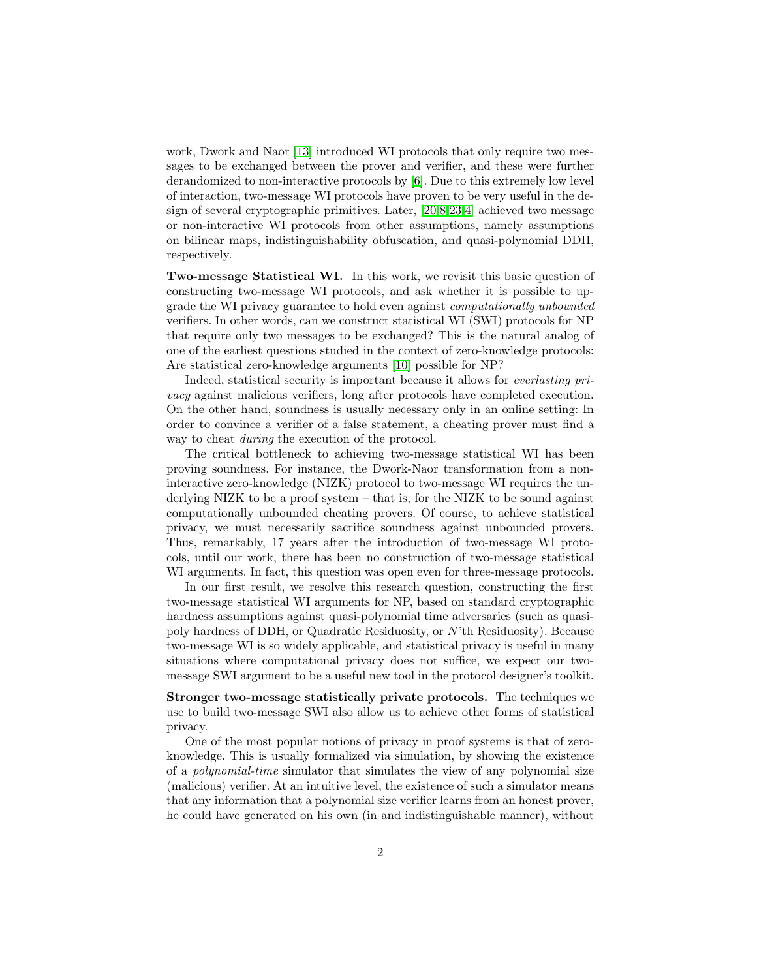work, Dwork and Naor [\[13\]](#page-30-1) introduced WI protocols that only require two messages to be exchanged between the prover and verifier, and these were further derandomized to non-interactive protocols by [\[6\]](#page-29-0). Due to this extremely low level of interaction, two-message WI protocols have proven to be very useful in the design of several cryptographic primitives. Later, [\[20,](#page-30-2)[8,](#page-29-1)[23,](#page-30-3)[4\]](#page-29-2) achieved two message or non-interactive WI protocols from other assumptions, namely assumptions on bilinear maps, indistinguishability obfuscation, and quasi-polynomial DDH, respectively.

Two-message Statistical WI. In this work, we revisit this basic question of constructing two-message WI protocols, and ask whether it is possible to upgrade the WI privacy guarantee to hold even against computationally unbounded verifiers. In other words, can we construct statistical WI (SWI) protocols for NP that require only two messages to be exchanged? This is the natural analog of one of the earliest questions studied in the context of zero-knowledge protocols: Are statistical zero-knowledge arguments [\[10\]](#page-30-4) possible for NP?

Indeed, statistical security is important because it allows for everlasting privacy against malicious verifiers, long after protocols have completed execution. On the other hand, soundness is usually necessary only in an online setting: In order to convince a verifier of a false statement, a cheating prover must find a way to cheat *during* the execution of the protocol.

The critical bottleneck to achieving two-message statistical WI has been proving soundness. For instance, the Dwork-Naor transformation from a noninteractive zero-knowledge (NIZK) protocol to two-message WI requires the underlying NIZK to be a proof system – that is, for the NIZK to be sound against computationally unbounded cheating provers. Of course, to achieve statistical privacy, we must necessarily sacrifice soundness against unbounded provers. Thus, remarkably, 17 years after the introduction of two-message WI protocols, until our work, there has been no construction of two-message statistical WI arguments. In fact, this question was open even for three-message protocols.

In our first result, we resolve this research question, constructing the first two-message statistical WI arguments for NP, based on standard cryptographic hardness assumptions against quasi-polynomial time adversaries (such as quasipoly hardness of DDH, or Quadratic Residuosity, or N'th Residuosity). Because two-message WI is so widely applicable, and statistical privacy is useful in many situations where computational privacy does not suffice, we expect our twomessage SWI argument to be a useful new tool in the protocol designer's toolkit.

Stronger two-message statistically private protocols. The techniques we use to build two-message SWI also allow us to achieve other forms of statistical privacy.

One of the most popular notions of privacy in proof systems is that of zeroknowledge. This is usually formalized via simulation, by showing the existence of a polynomial-time simulator that simulates the view of any polynomial size (malicious) verifier. At an intuitive level, the existence of such a simulator means that any information that a polynomial size verifier learns from an honest prover, he could have generated on his own (in and indistinguishable manner), without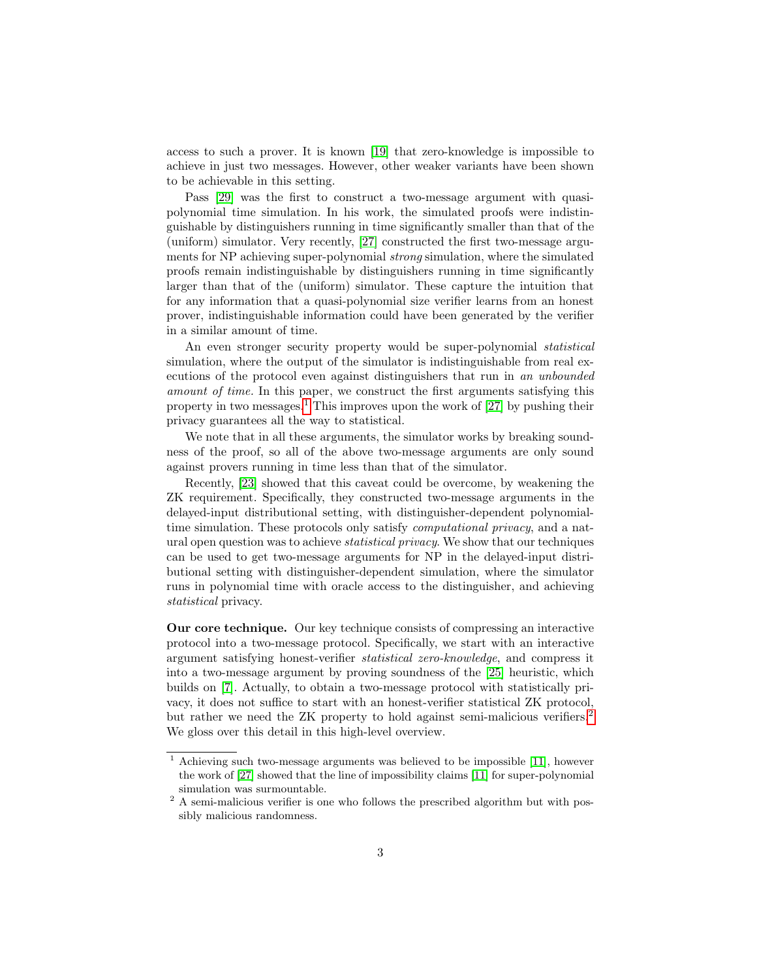access to such a prover. It is known [\[19\]](#page-30-5) that zero-knowledge is impossible to achieve in just two messages. However, other weaker variants have been shown to be achievable in this setting.

Pass [\[29\]](#page-31-0) was the first to construct a two-message argument with quasipolynomial time simulation. In his work, the simulated proofs were indistinguishable by distinguishers running in time significantly smaller than that of the (uniform) simulator. Very recently, [\[27\]](#page-31-1) constructed the first two-message arguments for NP achieving super-polynomial strong simulation, where the simulated proofs remain indistinguishable by distinguishers running in time significantly larger than that of the (uniform) simulator. These capture the intuition that for any information that a quasi-polynomial size verifier learns from an honest prover, indistinguishable information could have been generated by the verifier in a similar amount of time.

An even stronger security property would be super-polynomial statistical simulation, where the output of the simulator is indistinguishable from real executions of the protocol even against distinguishers that run in an unbounded amount of time. In this paper, we construct the first arguments satisfying this property in two messages.<sup>[1](#page-2-0)</sup> This improves upon the work of  $[27]$  by pushing their privacy guarantees all the way to statistical.

We note that in all these arguments, the simulator works by breaking soundness of the proof, so all of the above two-message arguments are only sound against provers running in time less than that of the simulator.

Recently, [\[23\]](#page-30-3) showed that this caveat could be overcome, by weakening the ZK requirement. Specifically, they constructed two-message arguments in the delayed-input distributional setting, with distinguisher-dependent polynomialtime simulation. These protocols only satisfy *computational privacy*, and a natural open question was to achieve statistical privacy. We show that our techniques can be used to get two-message arguments for NP in the delayed-input distributional setting with distinguisher-dependent simulation, where the simulator runs in polynomial time with oracle access to the distinguisher, and achieving statistical privacy.

Our core technique. Our key technique consists of compressing an interactive protocol into a two-message protocol. Specifically, we start with an interactive argument satisfying honest-verifier statistical zero-knowledge, and compress it into a two-message argument by proving soundness of the [\[25\]](#page-30-6) heuristic, which builds on [\[7\]](#page-29-3). Actually, to obtain a two-message protocol with statistically privacy, it does not suffice to start with an honest-verifier statistical ZK protocol, but rather we need the ZK property to hold against semi-malicious verifiers.<sup>[2](#page-2-1)</sup> We gloss over this detail in this high-level overview.

<span id="page-2-0"></span> $1$  Achieving such two-message arguments was believed to be impossible [\[11\]](#page-30-7), however the work of [\[27\]](#page-31-1) showed that the line of impossibility claims [\[11\]](#page-30-7) for super-polynomial simulation was surmountable.

<span id="page-2-1"></span><sup>&</sup>lt;sup>2</sup> A semi-malicious verifier is one who follows the prescribed algorithm but with possibly malicious randomness.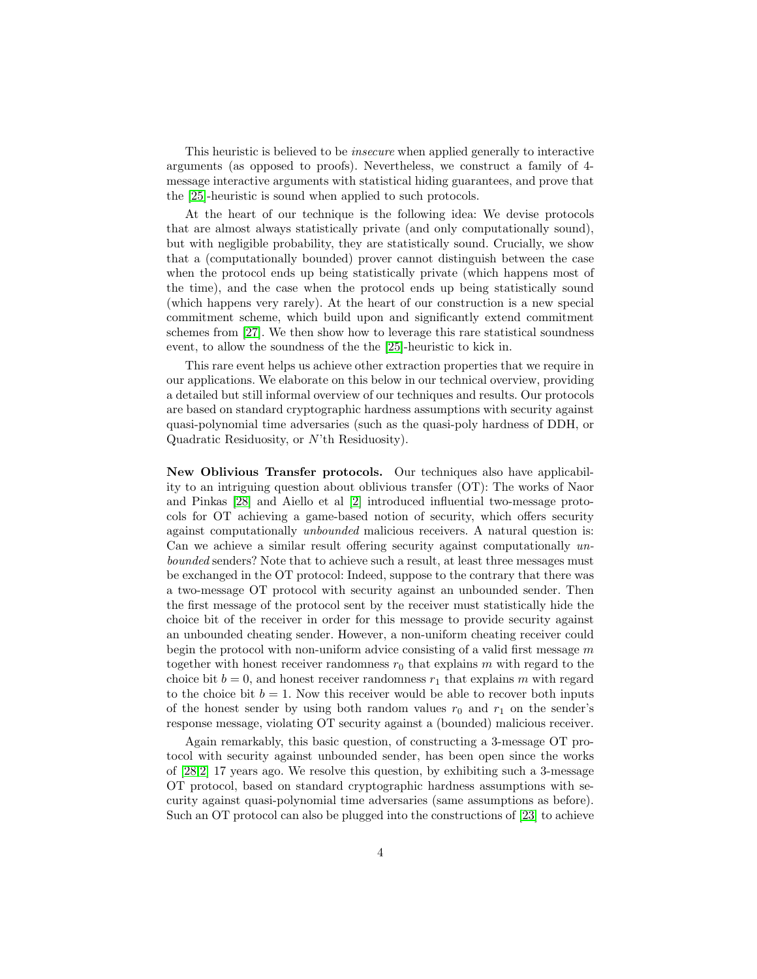This heuristic is believed to be insecure when applied generally to interactive arguments (as opposed to proofs). Nevertheless, we construct a family of 4 message interactive arguments with statistical hiding guarantees, and prove that the [\[25\]](#page-30-6)-heuristic is sound when applied to such protocols.

At the heart of our technique is the following idea: We devise protocols that are almost always statistically private (and only computationally sound), but with negligible probability, they are statistically sound. Crucially, we show that a (computationally bounded) prover cannot distinguish between the case when the protocol ends up being statistically private (which happens most of the time), and the case when the protocol ends up being statistically sound (which happens very rarely). At the heart of our construction is a new special commitment scheme, which build upon and significantly extend commitment schemes from [\[27\]](#page-31-1). We then show how to leverage this rare statistical soundness event, to allow the soundness of the the [\[25\]](#page-30-6)-heuristic to kick in.

This rare event helps us achieve other extraction properties that we require in our applications. We elaborate on this below in our technical overview, providing a detailed but still informal overview of our techniques and results. Our protocols are based on standard cryptographic hardness assumptions with security against quasi-polynomial time adversaries (such as the quasi-poly hardness of DDH, or Quadratic Residuosity, or N'th Residuosity).

New Oblivious Transfer protocols. Our techniques also have applicability to an intriguing question about oblivious transfer (OT): The works of Naor and Pinkas [\[28\]](#page-31-2) and Aiello et al [\[2\]](#page-29-4) introduced influential two-message protocols for OT achieving a game-based notion of security, which offers security against computationally unbounded malicious receivers. A natural question is: Can we achieve a similar result offering security against computationally unbounded senders? Note that to achieve such a result, at least three messages must be exchanged in the OT protocol: Indeed, suppose to the contrary that there was a two-message OT protocol with security against an unbounded sender. Then the first message of the protocol sent by the receiver must statistically hide the choice bit of the receiver in order for this message to provide security against an unbounded cheating sender. However, a non-uniform cheating receiver could begin the protocol with non-uniform advice consisting of a valid first message  $m$ together with honest receiver randomness  $r_0$  that explains m with regard to the choice bit  $b = 0$ , and honest receiver randomness  $r_1$  that explains m with regard to the choice bit  $b = 1$ . Now this receiver would be able to recover both inputs of the honest sender by using both random values  $r_0$  and  $r_1$  on the sender's response message, violating OT security against a (bounded) malicious receiver.

Again remarkably, this basic question, of constructing a 3-message OT protocol with security against unbounded sender, has been open since the works of [\[28,](#page-31-2)[2\]](#page-29-4) 17 years ago. We resolve this question, by exhibiting such a 3-message OT protocol, based on standard cryptographic hardness assumptions with security against quasi-polynomial time adversaries (same assumptions as before). Such an OT protocol can also be plugged into the constructions of [\[23\]](#page-30-3) to achieve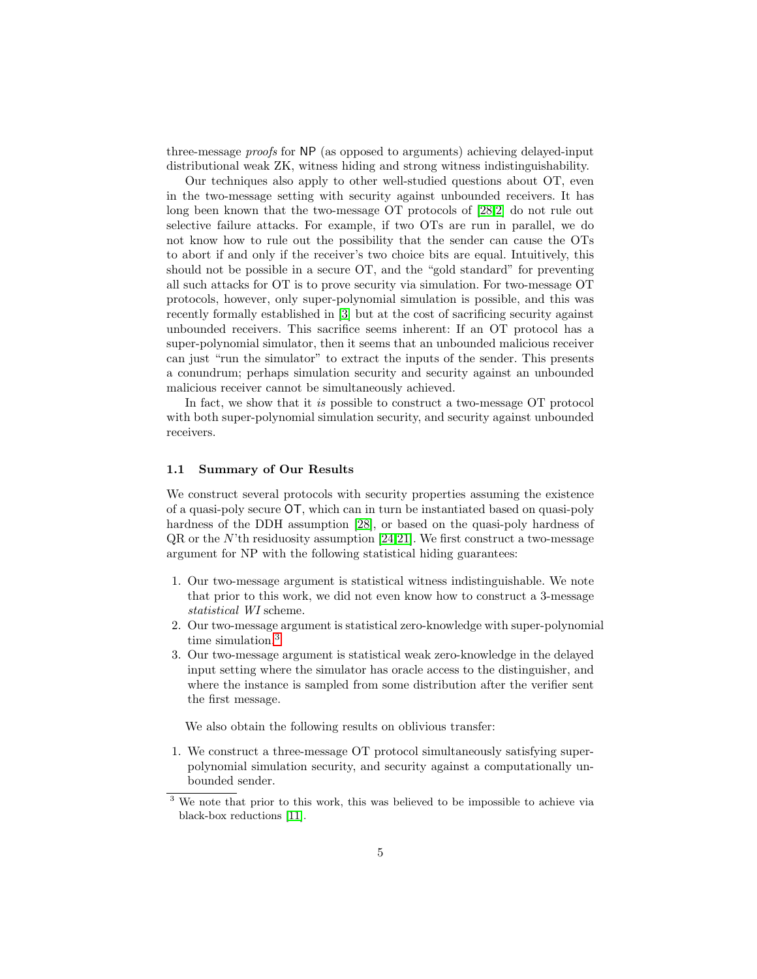three-message proofs for NP (as opposed to arguments) achieving delayed-input distributional weak ZK, witness hiding and strong witness indistinguishability.

Our techniques also apply to other well-studied questions about OT, even in the two-message setting with security against unbounded receivers. It has long been known that the two-message OT protocols of [\[28](#page-31-2)[,2\]](#page-29-4) do not rule out selective failure attacks. For example, if two OTs are run in parallel, we do not know how to rule out the possibility that the sender can cause the OTs to abort if and only if the receiver's two choice bits are equal. Intuitively, this should not be possible in a secure OT, and the "gold standard" for preventing all such attacks for OT is to prove security via simulation. For two-message OT protocols, however, only super-polynomial simulation is possible, and this was recently formally established in [\[3\]](#page-29-5) but at the cost of sacrificing security against unbounded receivers. This sacrifice seems inherent: If an OT protocol has a super-polynomial simulator, then it seems that an unbounded malicious receiver can just "run the simulator" to extract the inputs of the sender. This presents a conundrum; perhaps simulation security and security against an unbounded malicious receiver cannot be simultaneously achieved.

In fact, we show that it is possible to construct a two-message OT protocol with both super-polynomial simulation security, and security against unbounded receivers.

## 1.1 Summary of Our Results

We construct several protocols with security properties assuming the existence of a quasi-poly secure OT, which can in turn be instantiated based on quasi-poly hardness of the DDH assumption [\[28\]](#page-31-2), or based on the quasi-poly hardness of  $QR$  or the N'th residuosity assumption [\[24,](#page-30-8)[21\]](#page-30-9). We first construct a two-message argument for NP with the following statistical hiding guarantees:

- 1. Our two-message argument is statistical witness indistinguishable. We note that prior to this work, we did not even know how to construct a 3-message statistical WI scheme.
- 2. Our two-message argument is statistical zero-knowledge with super-polynomial time simulation.<sup>[3](#page-4-0)</sup>
- 3. Our two-message argument is statistical weak zero-knowledge in the delayed input setting where the simulator has oracle access to the distinguisher, and where the instance is sampled from some distribution after the verifier sent the first message.

We also obtain the following results on oblivious transfer:

1. We construct a three-message OT protocol simultaneously satisfying superpolynomial simulation security, and security against a computationally unbounded sender.

<span id="page-4-0"></span><sup>&</sup>lt;sup>3</sup> We note that prior to this work, this was believed to be impossible to achieve via black-box reductions [\[11\]](#page-30-7).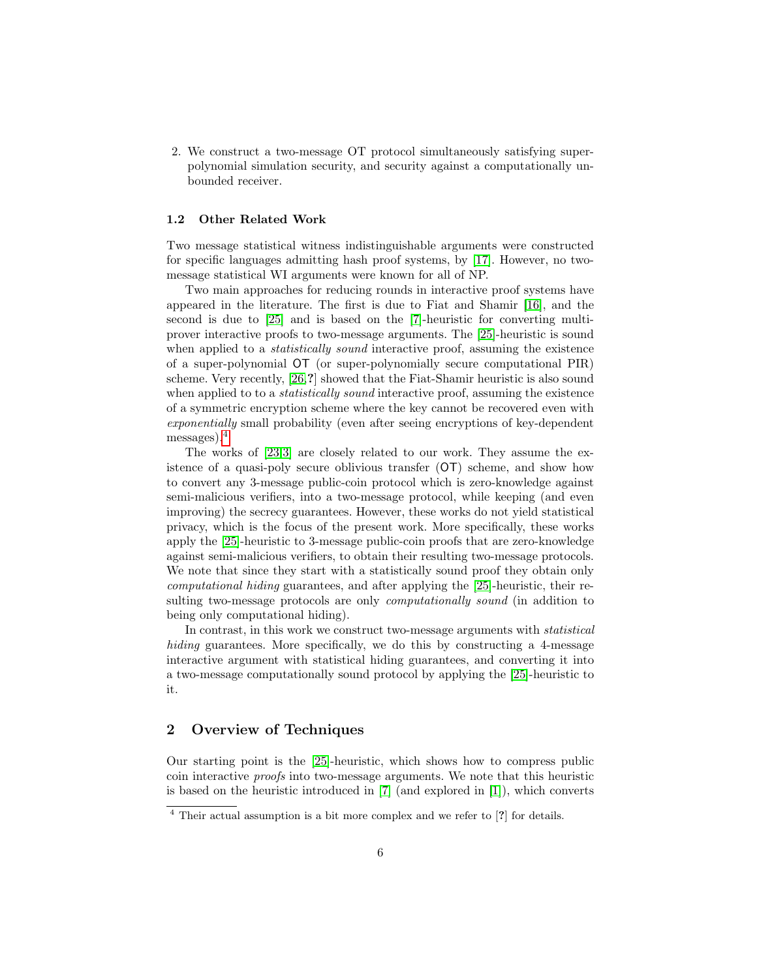2. We construct a two-message OT protocol simultaneously satisfying superpolynomial simulation security, and security against a computationally unbounded receiver.

#### 1.2 Other Related Work

Two message statistical witness indistinguishable arguments were constructed for specific languages admitting hash proof systems, by [\[17\]](#page-30-10). However, no twomessage statistical WI arguments were known for all of NP.

Two main approaches for reducing rounds in interactive proof systems have appeared in the literature. The first is due to Fiat and Shamir [\[16\]](#page-30-11), and the second is due to [\[25\]](#page-30-6) and is based on the [\[7\]](#page-29-3)-heuristic for converting multiprover interactive proofs to two-message arguments. The [\[25\]](#page-30-6)-heuristic is sound when applied to a *statistically sound* interactive proof, assuming the existence of a super-polynomial OT (or super-polynomially secure computational PIR) scheme. Very recently, [\[26,](#page-31-3)?] showed that the Fiat-Shamir heuristic is also sound when applied to to a *statistically sound* interactive proof, assuming the existence of a symmetric encryption scheme where the key cannot be recovered even with exponentially small probability (even after seeing encryptions of key-dependent messages).[4](#page-5-0)

The works of [\[23,](#page-30-3)[3\]](#page-29-5) are closely related to our work. They assume the existence of a quasi-poly secure oblivious transfer (OT) scheme, and show how to convert any 3-message public-coin protocol which is zero-knowledge against semi-malicious verifiers, into a two-message protocol, while keeping (and even improving) the secrecy guarantees. However, these works do not yield statistical privacy, which is the focus of the present work. More specifically, these works apply the [\[25\]](#page-30-6)-heuristic to 3-message public-coin proofs that are zero-knowledge against semi-malicious verifiers, to obtain their resulting two-message protocols. We note that since they start with a statistically sound proof they obtain only computational hiding guarantees, and after applying the [\[25\]](#page-30-6)-heuristic, their resulting two-message protocols are only *computationally sound* (in addition to being only computational hiding).

In contrast, in this work we construct two-message arguments with statistical hiding guarantees. More specifically, we do this by constructing a 4-message interactive argument with statistical hiding guarantees, and converting it into a two-message computationally sound protocol by applying the [\[25\]](#page-30-6)-heuristic to it.

# 2 Overview of Techniques

Our starting point is the [\[25\]](#page-30-6)-heuristic, which shows how to compress public coin interactive proofs into two-message arguments. We note that this heuristic is based on the heuristic introduced in [\[7\]](#page-29-3) (and explored in [\[1\]](#page-29-6)), which converts

<span id="page-5-0"></span><sup>4</sup> Their actual assumption is a bit more complex and we refer to [?] for details.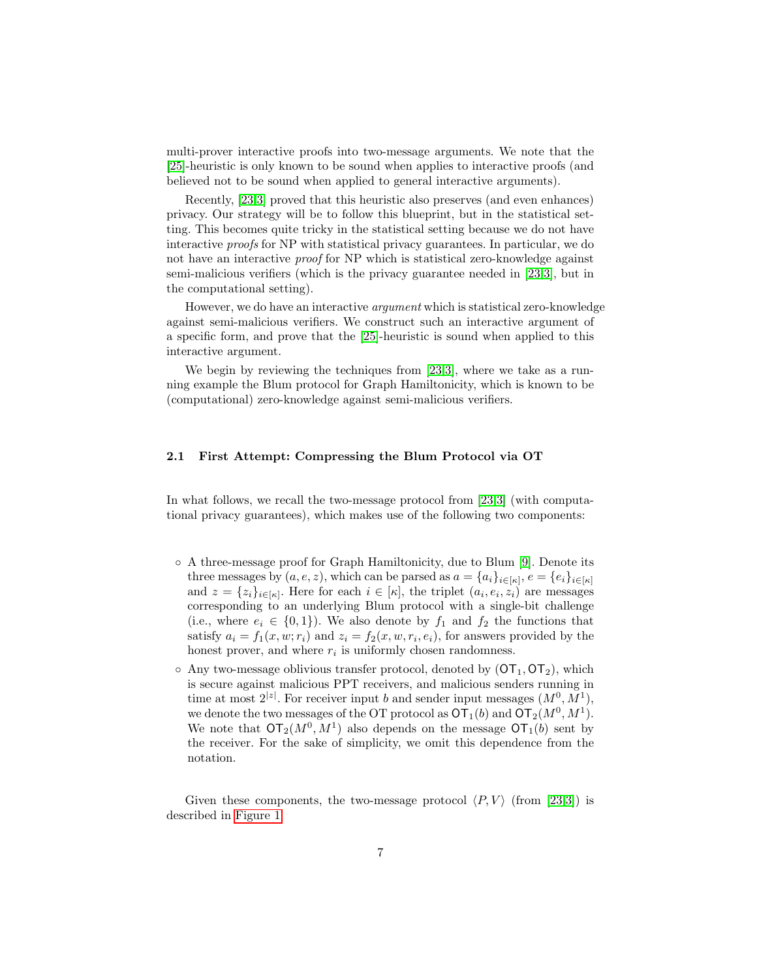multi-prover interactive proofs into two-message arguments. We note that the [\[25\]](#page-30-6)-heuristic is only known to be sound when applies to interactive proofs (and believed not to be sound when applied to general interactive arguments).

Recently, [\[23,](#page-30-3)[3\]](#page-29-5) proved that this heuristic also preserves (and even enhances) privacy. Our strategy will be to follow this blueprint, but in the statistical setting. This becomes quite tricky in the statistical setting because we do not have interactive proofs for NP with statistical privacy guarantees. In particular, we do not have an interactive proof for NP which is statistical zero-knowledge against semi-malicious verifiers (which is the privacy guarantee needed in [\[23,](#page-30-3)[3\]](#page-29-5), but in the computational setting).

However, we do have an interactive argument which is statistical zero-knowledge against semi-malicious verifiers. We construct such an interactive argument of a specific form, and prove that the [\[25\]](#page-30-6)-heuristic is sound when applied to this interactive argument.

We begin by reviewing the techniques from [\[23](#page-30-3)[,3\]](#page-29-5), where we take as a running example the Blum protocol for Graph Hamiltonicity, which is known to be (computational) zero-knowledge against semi-malicious verifiers.

#### 2.1 First Attempt: Compressing the Blum Protocol via OT

In what follows, we recall the two-message protocol from [\[23,](#page-30-3)[3\]](#page-29-5) (with computational privacy guarantees), which makes use of the following two components:

- A three-message proof for Graph Hamiltonicity, due to Blum [\[9\]](#page-30-12). Denote its three messages by  $(a, e, z)$ , which can be parsed as  $a = \{a_i\}_{i \in [\kappa]}, e = \{e_i\}_{i \in [\kappa]}$ and  $z = \{z_i\}_{i \in [\kappa]}$ . Here for each  $i \in [\kappa]$ , the triplet  $(a_i, e_i, z_i)$  are messages corresponding to an underlying Blum protocol with a single-bit challenge (i.e., where  $e_i \in \{0,1\}$ ). We also denote by  $f_1$  and  $f_2$  the functions that satisfy  $a_i = f_1(x, w; r_i)$  and  $z_i = f_2(x, w, r_i, e_i)$ , for answers provided by the honest prover, and where  $r_i$  is uniformly chosen randomness.
- $\circ$  Any two-message oblivious transfer protocol, denoted by  $(OT_1, OT_2)$ , which is secure against malicious PPT receivers, and malicious senders running in time at most  $2^{|z|}$ . For receiver input b and sender input messages  $(M^0, M^1)$ , we denote the two messages of the OT protocol as  $\mathsf{OT}_1(b)$  and  $\mathsf{OT}_2(M^0,M^1)$ . We note that  $\mathsf{OT}_2(M^0, M^1)$  also depends on the message  $\mathsf{OT}_1(b)$  sent by the receiver. For the sake of simplicity, we omit this dependence from the notation.

Given these components, the two-message protocol  $\langle P, V \rangle$  (from [\[23,](#page-30-3)[3\]](#page-29-5)) is described in [Figure 1.](#page-7-0)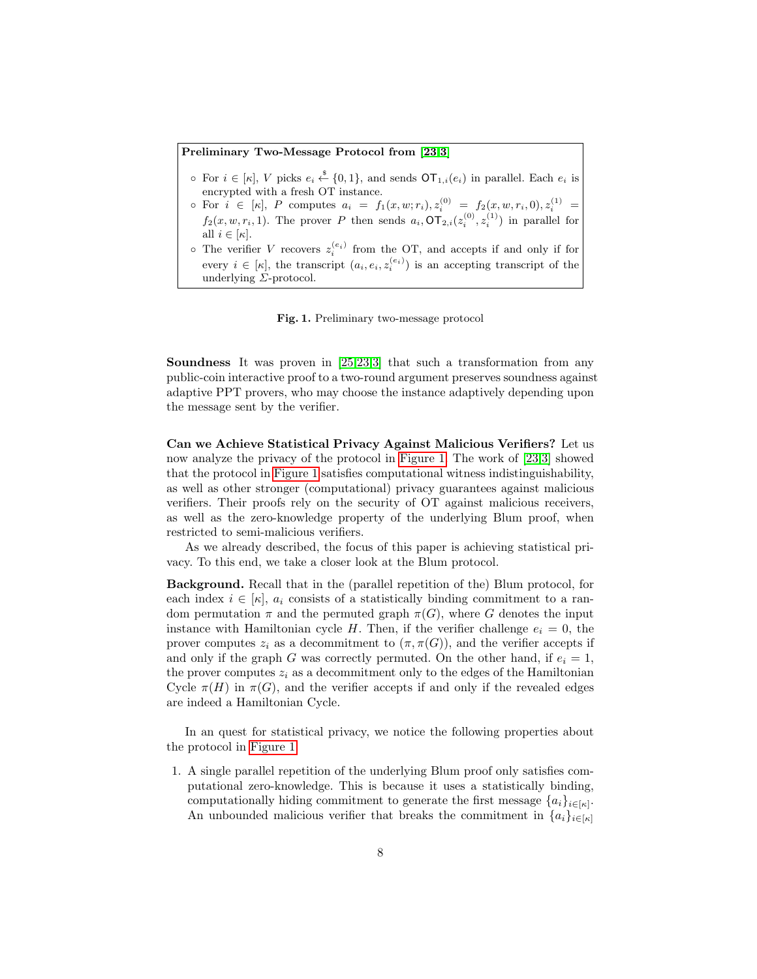#### Preliminary Two-Message Protocol from [\[23](#page-30-3)[,3\]](#page-29-5)

- $\circ$  For  $i \in [\kappa], V$  picks  $e_i \stackrel{\$}{\leftarrow} \{0,1\},$  and sends  $\mathsf{OT}_{1,i}(e_i)$  in parallel. Each  $e_i$  is encrypted with a fresh OT instance.
- $\circ$  For  $i \in [\kappa], P$  computes  $a_i = f_1(x, w; r_i), z_i^{(0)} = f_2(x, w, r_i, 0), z_i^{(1)} =$  $f_2(x, w, r_i, 1)$ . The prover P then sends  $a_i, \mathsf{OT}_{2,i}(z_i^{(0)}, z_i^{(1)})$  in parallel for all  $i \in [\kappa]$ .
- $\circ$  The verifier V recovers  $z_i^{(e_i)}$  from the OT, and accepts if and only if for every  $i \in [\kappa]$ , the transcript  $(a_i, e_i, z_i^{(e_i)})$  is an accepting transcript of the underlying Σ-protocol.

<span id="page-7-0"></span>Fig. 1. Preliminary two-message protocol

Soundness It was proven in [\[25,](#page-30-6)[23,](#page-30-3)[3\]](#page-29-5) that such a transformation from any public-coin interactive proof to a two-round argument preserves soundness against adaptive PPT provers, who may choose the instance adaptively depending upon the message sent by the verifier.

Can we Achieve Statistical Privacy Against Malicious Verifiers? Let us now analyze the privacy of the protocol in [Figure 1.](#page-7-0) The work of [\[23,](#page-30-3)[3\]](#page-29-5) showed that the protocol in [Figure 1](#page-7-0) satisfies computational witness indistinguishability, as well as other stronger (computational) privacy guarantees against malicious verifiers. Their proofs rely on the security of OT against malicious receivers, as well as the zero-knowledge property of the underlying Blum proof, when restricted to semi-malicious verifiers.

As we already described, the focus of this paper is achieving statistical privacy. To this end, we take a closer look at the Blum protocol.

Background. Recall that in the (parallel repetition of the) Blum protocol, for each index  $i \in [\kappa]$ ,  $a_i$  consists of a statistically binding commitment to a random permutation  $\pi$  and the permuted graph  $\pi(G)$ , where G denotes the input instance with Hamiltonian cycle H. Then, if the verifier challenge  $e_i = 0$ , the prover computes  $z_i$  as a decommitment to  $(\pi, \pi(G))$ , and the verifier accepts if and only if the graph G was correctly permuted. On the other hand, if  $e_i = 1$ , the prover computes  $z_i$  as a decommitment only to the edges of the Hamiltonian Cycle  $\pi(H)$  in  $\pi(G)$ , and the verifier accepts if and only if the revealed edges are indeed a Hamiltonian Cycle.

In an quest for statistical privacy, we notice the following properties about the protocol in [Figure 1:](#page-7-0)

1. A single parallel repetition of the underlying Blum proof only satisfies computational zero-knowledge. This is because it uses a statistically binding, computationally hiding commitment to generate the first message  $\{a_i\}_{i\in[\kappa]}$ . An unbounded malicious verifier that breaks the commitment in  ${a_i}_{i\in[k]}$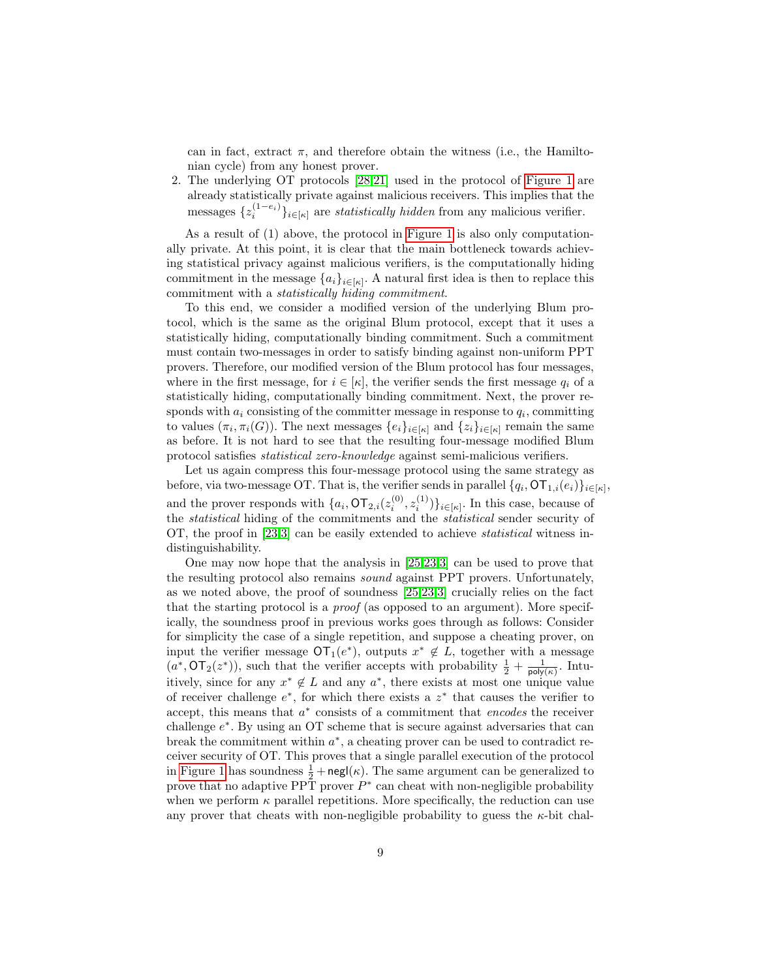can in fact, extract  $\pi$ , and therefore obtain the witness (i.e., the Hamiltonian cycle) from any honest prover.

2. The underlying OT protocols [\[28](#page-31-2)[,21\]](#page-30-9) used in the protocol of [Figure 1](#page-7-0) are already statistically private against malicious receivers. This implies that the messages  $\{z_i^{(1-e_i)}\}_{i\in[\kappa]}$  are *statistically hidden* from any malicious verifier.

As a result of (1) above, the protocol in [Figure 1](#page-7-0) is also only computationally private. At this point, it is clear that the main bottleneck towards achieving statistical privacy against malicious verifiers, is the computationally hiding commitment in the message  $\{a_i\}_{i\in[\kappa]}$ . A natural first idea is then to replace this commitment with a statistically hiding commitment.

To this end, we consider a modified version of the underlying Blum protocol, which is the same as the original Blum protocol, except that it uses a statistically hiding, computationally binding commitment. Such a commitment must contain two-messages in order to satisfy binding against non-uniform PPT provers. Therefore, our modified version of the Blum protocol has four messages, where in the first message, for  $i \in [\kappa]$ , the verifier sends the first message  $q_i$  of a statistically hiding, computationally binding commitment. Next, the prover responds with  $a_i$  consisting of the committer message in response to  $q_i$ , committing to values  $(\pi_i, \pi_i(G))$ . The next messages  $\{e_i\}_{i \in [\kappa]}$  and  $\{z_i\}_{i \in [\kappa]}$  remain the same as before. It is not hard to see that the resulting four-message modified Blum protocol satisfies statistical zero-knowledge against semi-malicious verifiers.

Let us again compress this four-message protocol using the same strategy as before, via two-message OT. That is, the verifier sends in parallel  $\{q_i, \text{OT}_{1,i}(e_i)\}_{i \in [\kappa]},$ and the prover responds with  $\{a_i, \text{OT}_{2,i}(z_i^{(0)}, z_i^{(1)})\}_{i \in [\kappa]}$ . In this case, because of the statistical hiding of the commitments and the statistical sender security of OT, the proof in [\[23,](#page-30-3)[3\]](#page-29-5) can be easily extended to achieve statistical witness indistinguishability.

One may now hope that the analysis in [\[25,](#page-30-6)[23,](#page-30-3)[3\]](#page-29-5) can be used to prove that the resulting protocol also remains sound against PPT provers. Unfortunately, as we noted above, the proof of soundness [\[25](#page-30-6)[,23,](#page-30-3)[3\]](#page-29-5) crucially relies on the fact that the starting protocol is a proof (as opposed to an argument). More specifically, the soundness proof in previous works goes through as follows: Consider for simplicity the case of a single repetition, and suppose a cheating prover, on input the verifier message  $\mathsf{OT}_1(e^*)$ , outputs  $x^* \notin L$ , together with a message  $(a^*, \text{OT}_2(z^*))$ , such that the verifier accepts with probability  $\frac{1}{2} + \frac{1}{\text{poly}(\kappa)}$ . Intuitively, since for any  $x^* \notin L$  and any  $a^*$ , there exists at most one unique value of receiver challenge  $e^*$ , for which there exists a  $z^*$  that causes the verifier to accept, this means that  $a^*$  consists of a commitment that *encodes* the receiver challenge e ∗ . By using an OT scheme that is secure against adversaries that can break the commitment within  $a^*$ , a cheating prover can be used to contradict receiver security of OT. This proves that a single parallel execution of the protocol in [Figure 1](#page-7-0) has soundness  $\frac{1}{2} + \text{negl}(\kappa)$ . The same argument can be generalized to prove that no adaptive PPT prover  $P^*$  can cheat with non-negligible probability when we perform  $\kappa$  parallel repetitions. More specifically, the reduction can use any prover that cheats with non-negligible probability to guess the  $\kappa$ -bit chal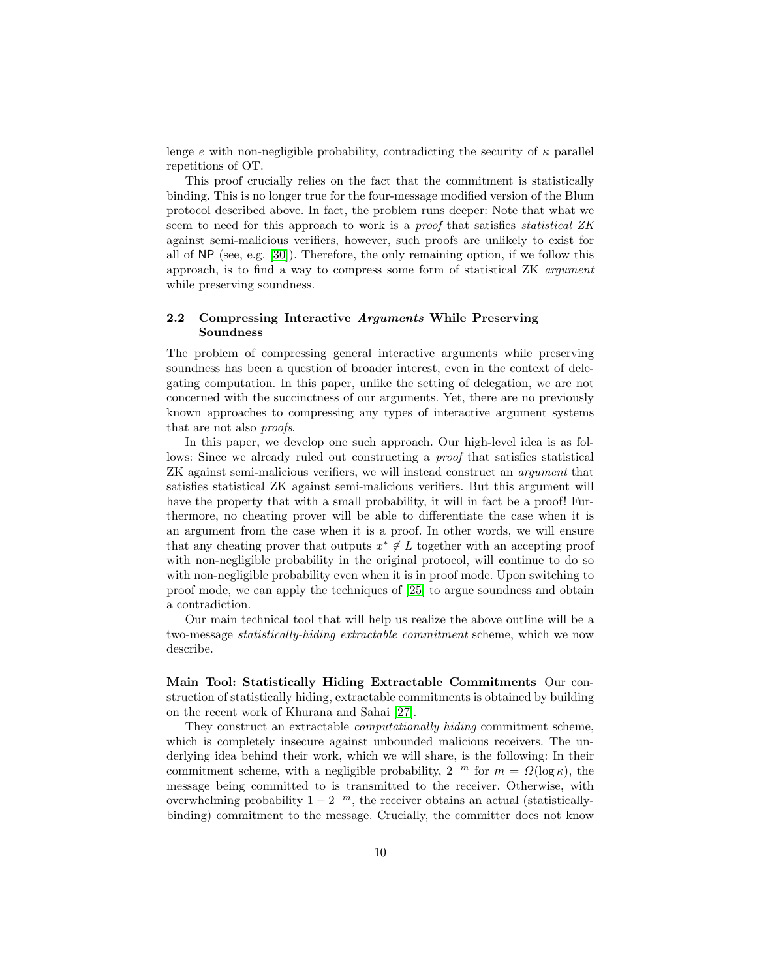lenge e with non-negligible probability, contradicting the security of  $\kappa$  parallel repetitions of OT.

This proof crucially relies on the fact that the commitment is statistically binding. This is no longer true for the four-message modified version of the Blum protocol described above. In fact, the problem runs deeper: Note that what we seem to need for this approach to work is a *proof* that satisfies *statistical* ZK against semi-malicious verifiers, however, such proofs are unlikely to exist for all of NP (see, e.g. [\[30\]](#page-31-4)). Therefore, the only remaining option, if we follow this approach, is to find a way to compress some form of statistical ZK argument while preserving soundness.

## 2.2 Compressing Interactive Arguments While Preserving Soundness

The problem of compressing general interactive arguments while preserving soundness has been a question of broader interest, even in the context of delegating computation. In this paper, unlike the setting of delegation, we are not concerned with the succinctness of our arguments. Yet, there are no previously known approaches to compressing any types of interactive argument systems that are not also proofs.

In this paper, we develop one such approach. Our high-level idea is as follows: Since we already ruled out constructing a proof that satisfies statistical ZK against semi-malicious verifiers, we will instead construct an argument that satisfies statistical ZK against semi-malicious verifiers. But this argument will have the property that with a small probability, it will in fact be a proof! Furthermore, no cheating prover will be able to differentiate the case when it is an argument from the case when it is a proof. In other words, we will ensure that any cheating prover that outputs  $x^* \notin L$  together with an accepting proof with non-negligible probability in the original protocol, will continue to do so with non-negligible probability even when it is in proof mode. Upon switching to proof mode, we can apply the techniques of [\[25\]](#page-30-6) to argue soundness and obtain a contradiction.

Our main technical tool that will help us realize the above outline will be a two-message statistically-hiding extractable commitment scheme, which we now describe.

Main Tool: Statistically Hiding Extractable Commitments Our construction of statistically hiding, extractable commitments is obtained by building on the recent work of Khurana and Sahai [\[27\]](#page-31-1).

They construct an extractable computationally hiding commitment scheme, which is completely insecure against unbounded malicious receivers. The underlying idea behind their work, which we will share, is the following: In their commitment scheme, with a negligible probability,  $2^{-m}$  for  $m = \Omega(\log \kappa)$ , the message being committed to is transmitted to the receiver. Otherwise, with overwhelming probability  $1 - 2^{-m}$ , the receiver obtains an actual (statisticallybinding) commitment to the message. Crucially, the committer does not know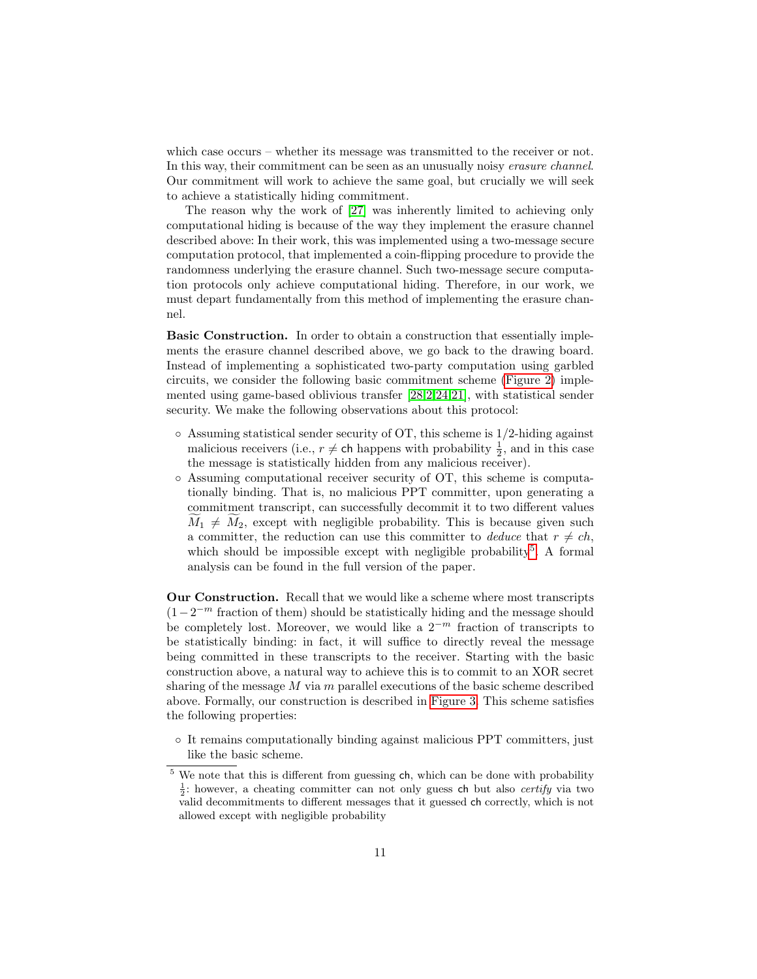which case occurs – whether its message was transmitted to the receiver or not. In this way, their commitment can be seen as an unusually noisy erasure channel. Our commitment will work to achieve the same goal, but crucially we will seek to achieve a statistically hiding commitment.

The reason why the work of [\[27\]](#page-31-1) was inherently limited to achieving only computational hiding is because of the way they implement the erasure channel described above: In their work, this was implemented using a two-message secure computation protocol, that implemented a coin-flipping procedure to provide the randomness underlying the erasure channel. Such two-message secure computation protocols only achieve computational hiding. Therefore, in our work, we must depart fundamentally from this method of implementing the erasure channel.

Basic Construction. In order to obtain a construction that essentially implements the erasure channel described above, we go back to the drawing board. Instead of implementing a sophisticated two-party computation using garbled circuits, we consider the following basic commitment scheme [\(Figure 2\)](#page-11-0) implemented using game-based oblivious transfer [\[28,](#page-31-2)[2,](#page-29-4)[24,](#page-30-8)[21\]](#page-30-9), with statistical sender security. We make the following observations about this protocol:

- Assuming statistical sender security of OT, this scheme is 1/2-hiding against malicious receivers (i.e.,  $r \neq$  ch happens with probability  $\frac{1}{2}$ , and in this case the message is statistically hidden from any malicious receiver).
- Assuming computational receiver security of OT, this scheme is computationally binding. That is, no malicious PPT committer, upon generating a commitment transcript, can successfully decommit it to two different values  $M_1 \neq M_2$ , except with negligible probability. This is because given such a committer, the reduction can use this committer to *deduce* that  $r \neq ch$ , which should be impossible except with negligible probability<sup>[5](#page-10-0)</sup>. A formal analysis can be found in the full version of the paper.

Our Construction. Recall that we would like a scheme where most transcripts  $(1-2^{-m}$  fraction of them) should be statistically hiding and the message should be completely lost. Moreover, we would like a  $2^{-m}$  fraction of transcripts to be statistically binding: in fact, it will suffice to directly reveal the message being committed in these transcripts to the receiver. Starting with the basic construction above, a natural way to achieve this is to commit to an XOR secret sharing of the message  $M$  via  $m$  parallel executions of the basic scheme described above. Formally, our construction is described in [Figure 3.](#page-12-0) This scheme satisfies the following properties:

◦ It remains computationally binding against malicious PPT committers, just like the basic scheme.

<span id="page-10-0"></span><sup>&</sup>lt;sup>5</sup> We note that this is different from guessing ch, which can be done with probability  $\frac{1}{2}$ : however, a cheating committer can not only guess ch but also *certify* via two valid decommitments to different messages that it guessed ch correctly, which is not allowed except with negligible probability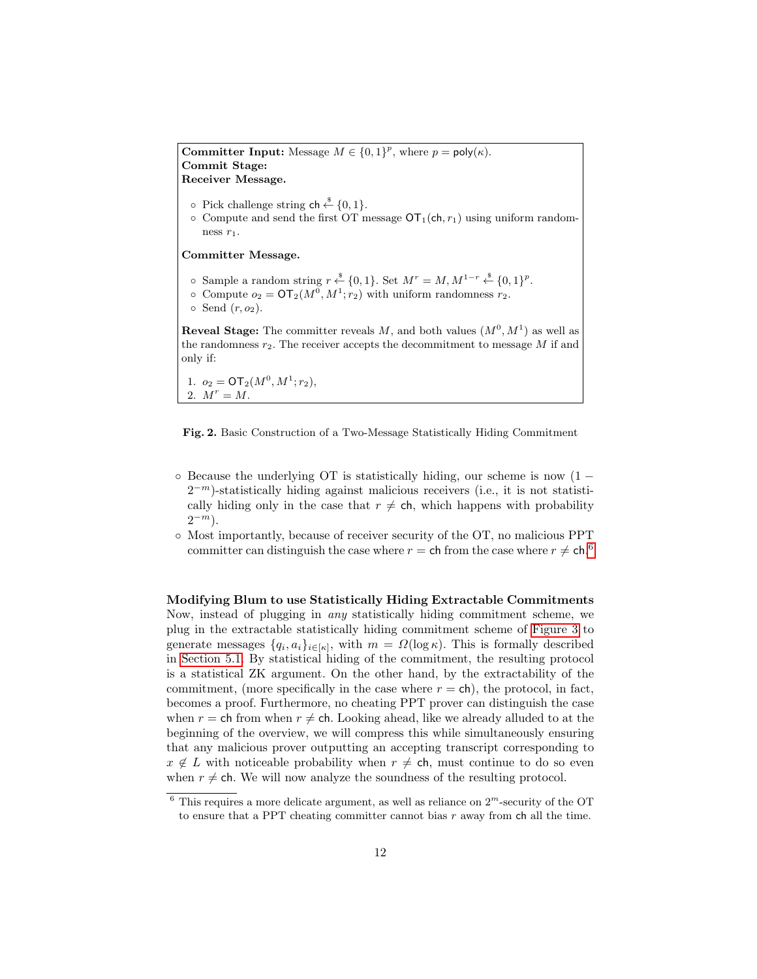**Committer Input:** Message  $M \in \{0,1\}^p$ , where  $p = \text{poly}(\kappa)$ . Commit Stage: Receiver Message.

- Pick challenge string ch  $\stackrel{\$}{\leftarrow}$  {0, 1}.
- $\circ$  Compute and send the first OT message  $\mathsf{OT}_1(\mathsf{ch}, r_1)$  using uniform randomness  $r_1$ .

Committer Message.

- ∘ Sample a random string  $r \stackrel{\$}{\leftarrow} \{0,1\}$ . Set  $M^r = M, M^{1-r} \stackrel{\$}{\leftarrow} \{0,1\}^p$ .
- Compute  $o_2 = \text{OT}_2(M^0, M^1; r_2)$  with uniform randomness  $r_2$ .
- $\circ$  Send  $(r, o_2)$ .

**Reveal Stage:** The committer reveals M, and both values  $(M^0, M^1)$  as well as the randomness  $r_2$ . The receiver accepts the decommitment to message  $M$  if and only if:

1.  $o_2 = \textsf{OT}_2(M^0, M^1; r_2),$ 2.  $M^r = M$ .

<span id="page-11-0"></span>

- Because the underlying OT is statistically hiding, our scheme is now (1 −  $2^{-m}$ )-statistically hiding against malicious receivers (i.e., it is not statistically hiding only in the case that  $r \neq ch$ , which happens with probability  $2^{-m}$ ).
- Most importantly, because of receiver security of the OT, no malicious PPT committer can distinguish the case where  $r =$  ch from the case where  $r \neq$  ch.<sup>[6](#page-11-1)</sup>

Modifying Blum to use Statistically Hiding Extractable Commitments Now, instead of plugging in any statistically hiding commitment scheme, we plug in the extractable statistically hiding commitment scheme of [Figure 3](#page-12-0) to generate messages  $\{q_i, a_i\}_{i \in [\kappa]}$ , with  $m = \Omega(\log \kappa)$ . This is formally described in [Section 5.1.](#page-22-0) By statistical hiding of the commitment, the resulting protocol is a statistical ZK argument. On the other hand, by the extractability of the commitment, (more specifically in the case where  $r = ch$ ), the protocol, in fact, becomes a proof. Furthermore, no cheating PPT prover can distinguish the case when r = ch from when  $r \neq$  ch. Looking ahead, like we already alluded to at the beginning of the overview, we will compress this while simultaneously ensuring that any malicious prover outputting an accepting transcript corresponding to  $x \notin L$  with noticeable probability when  $r \neq$  ch, must continue to do so even when  $r \neq$  ch. We will now analyze the soundness of the resulting protocol.

<span id="page-11-1"></span> $6$  This requires a more delicate argument, as well as reliance on  $2^m$ -security of the OT to ensure that a PPT cheating committer cannot bias  $r$  away from ch all the time.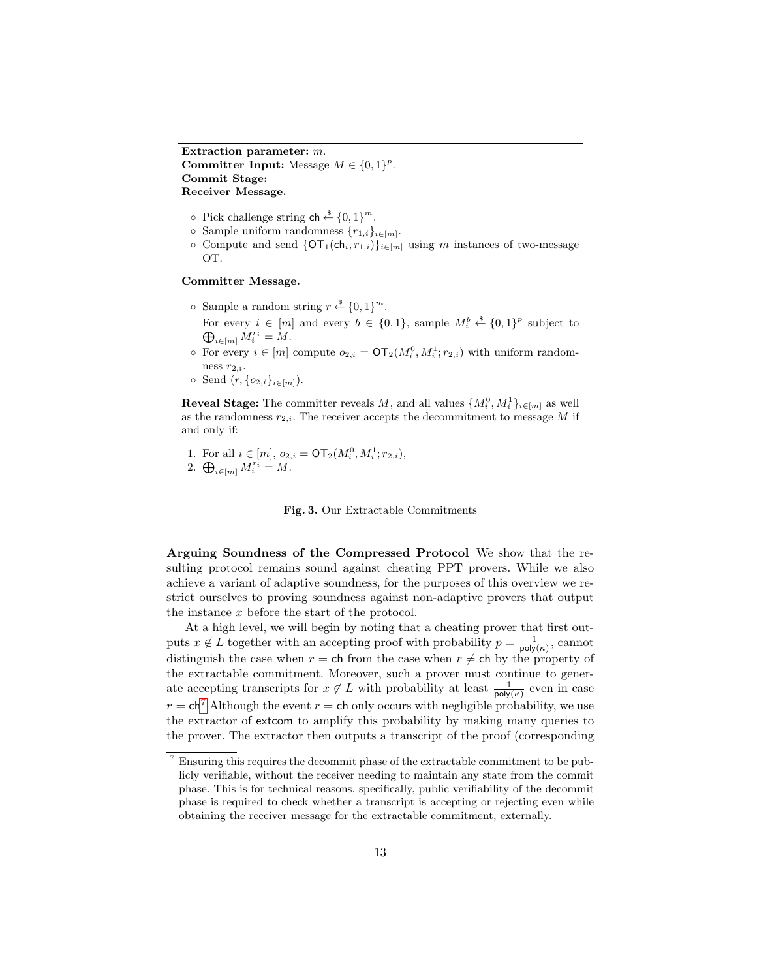Extraction parameter: m. Committer Input: Message  $M \in \{0,1\}^p$ . Commit Stage: Receiver Message.

∘ Pick challenge string  $\mathsf{ch} \overset{\hspace{0.1em}\mathsf{\scriptscriptstyle\$}}{\leftarrow} \{0,1\}^m$ .

- $\circ$  Sample uniform randomness  $\{r_{1,i}\}_{i\in[m]}$ .
- Compute and send  $\{OT_1(ch_i, r_{1,i})\}_{i \in [m]}$  using m instances of two-message OT.

#### Committer Message.

- $\circ$  Sample a random string  $r \stackrel{\$}{\leftarrow} \{0,1\}^m$ .
- For every  $i \in [m]$  and every  $b \in \{0,1\}$ , sample  $M_i^b \stackrel{\$}{\leftarrow} \{0,1\}^p$  subject to  $\bigoplus_{i\in[m]} M_i^{r_i} = M.$
- For every  $i \in [m]$  compute  $o_{2,i} = \text{OT}_2(M_i^0, M_i^1; r_{2,i})$  with uniform randomness  $r_{2,i}$ .
- Send  $(r, \{o_{2,i}\}_{i \in [m]})$ .

**Reveal Stage:** The committer reveals  $M$ , and all values  $\{M_i^0, M_i^1\}_{i \in [m]}$  as well as the randomness  $r_{2,i}$ . The receiver accepts the decommitment to message M if and only if:

1. For all  $i \in [m]$ ,  $o_{2,i} = \textsf{OT}_2(M_i^0, M_i^1; r_{2,i}),$ 2.  $\bigoplus_{i \in [m]} M_i^{r_i} = M$ .

<span id="page-12-0"></span>

Arguing Soundness of the Compressed Protocol We show that the resulting protocol remains sound against cheating PPT provers. While we also achieve a variant of adaptive soundness, for the purposes of this overview we restrict ourselves to proving soundness against non-adaptive provers that output the instance x before the start of the protocol.

At a high level, we will begin by noting that a cheating prover that first outputs  $x \notin L$  together with an accepting proof with probability  $p = \frac{1}{\text{poly}(\kappa)}$ , cannot distinguish the case when  $r =$  ch from the case when  $r \neq$  ch by the property of the extractable commitment. Moreover, such a prover must continue to generate accepting transcripts for  $x \notin L$  with probability at least  $\frac{1}{\text{poly}(\kappa)}$  even in case  $r = ch^7$  $r = ch^7$  Although the event  $r = ch$  only occurs with negligible probability, we use the extractor of extcom to amplify this probability by making many queries to the prover. The extractor then outputs a transcript of the proof (corresponding

<span id="page-12-1"></span><sup>7</sup> Ensuring this requires the decommit phase of the extractable commitment to be publicly verifiable, without the receiver needing to maintain any state from the commit phase. This is for technical reasons, specifically, public verifiability of the decommit phase is required to check whether a transcript is accepting or rejecting even while obtaining the receiver message for the extractable commitment, externally.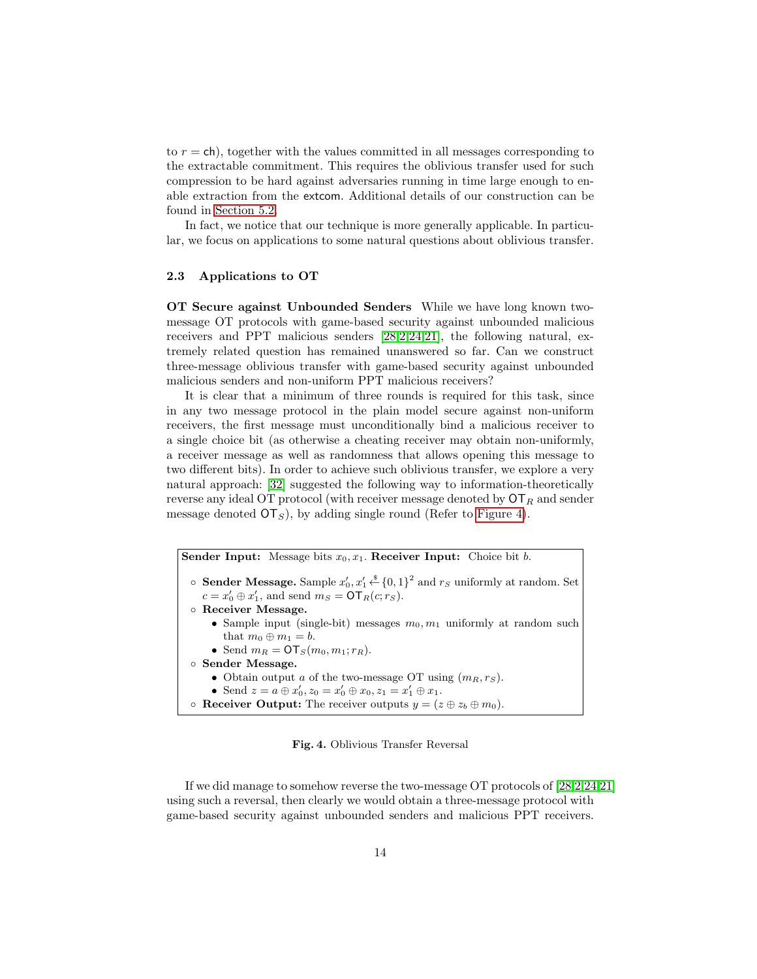to  $r = ch$ , together with the values committed in all messages corresponding to the extractable commitment. This requires the oblivious transfer used for such compression to be hard against adversaries running in time large enough to enable extraction from the extcom. Additional details of our construction can be found in [Section 5.2.](#page-23-0)

In fact, we notice that our technique is more generally applicable. In particular, we focus on applications to some natural questions about oblivious transfer.

#### 2.3 Applications to OT

OT Secure against Unbounded Senders While we have long known twomessage OT protocols with game-based security against unbounded malicious receivers and PPT malicious senders [\[28](#page-31-2)[,2,](#page-29-4)[24,](#page-30-8)[21\]](#page-30-9), the following natural, extremely related question has remained unanswered so far. Can we construct three-message oblivious transfer with game-based security against unbounded malicious senders and non-uniform PPT malicious receivers?

It is clear that a minimum of three rounds is required for this task, since in any two message protocol in the plain model secure against non-uniform receivers, the first message must unconditionally bind a malicious receiver to a single choice bit (as otherwise a cheating receiver may obtain non-uniformly, a receiver message as well as randomness that allows opening this message to two different bits). In order to achieve such oblivious transfer, we explore a very natural approach: [\[32\]](#page-31-5) suggested the following way to information-theoretically reverse any ideal OT protocol (with receiver message denoted by  $\mathsf{OT}_R$  and sender message denoted  $\sigma(\mathsf{T}_S)$ , by adding single round (Refer to [Figure 4\)](#page-13-0).

Sender Input: Message bits  $x_0, x_1$ . Receiver Input: Choice bit b.  $\circ$  Sender Message. Sample  $x'_0, x'_1 \stackrel{\$}{\leftarrow} \{0,1\}^2$  and  $r_S$  uniformly at random. Set  $c = x'_0 \oplus x'_1$ , and send  $m_S = \textsf{OT}_R(c; r_S)$ . ◦ Receiver Message. • Sample input (single-bit) messages  $m_0, m_1$  uniformly at random such that  $m_0 \oplus m_1 = b$ . • Send  $m_R = \textsf{OT}_S(m_0, m_1; r_R)$ . ◦ Sender Message. • Obtain output a of the two-message OT using  $(m_R, r_S)$ . • Send  $z = a \oplus x'_0, z_0 = x'_0 \oplus x_0, z_1 = x'_1 \oplus x_1.$ 

• **Receiver Output:** The receiver outputs  $y = (z \oplus z_b \oplus m_0)$ .

<span id="page-13-0"></span>Fig. 4. Oblivious Transfer Reversal

If we did manage to somehow reverse the two-message OT protocols of [\[28,](#page-31-2)[2,](#page-29-4)[24,](#page-30-8)[21\]](#page-30-9) using such a reversal, then clearly we would obtain a three-message protocol with game-based security against unbounded senders and malicious PPT receivers.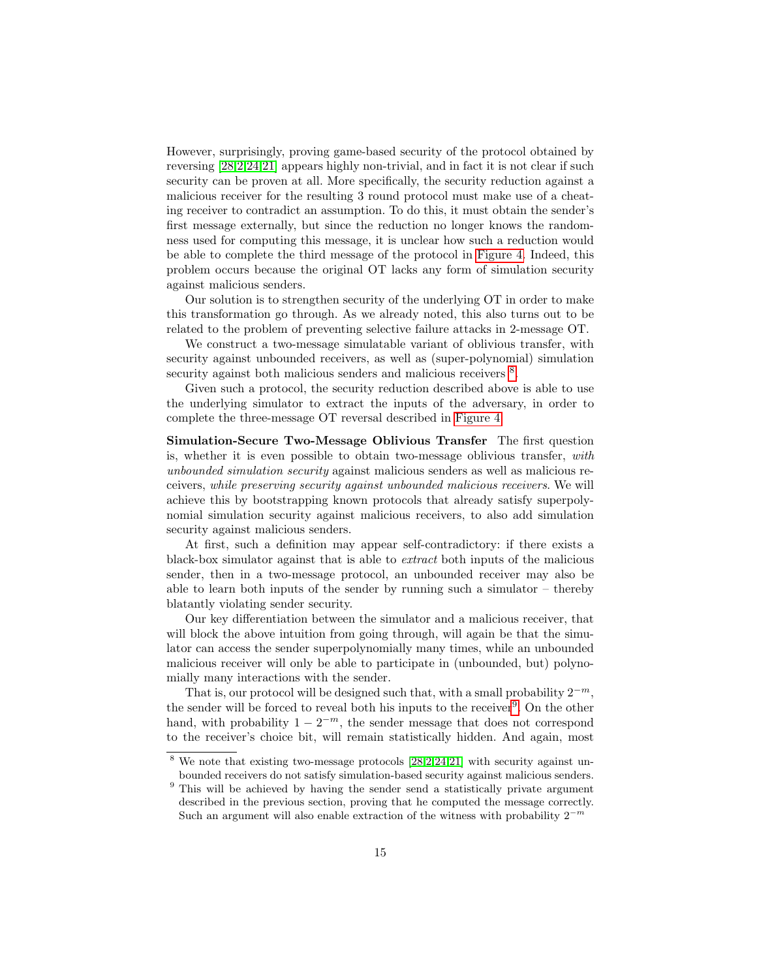However, surprisingly, proving game-based security of the protocol obtained by reversing [\[28,](#page-31-2)[2,](#page-29-4)[24,](#page-30-8)[21\]](#page-30-9) appears highly non-trivial, and in fact it is not clear if such security can be proven at all. More specifically, the security reduction against a malicious receiver for the resulting 3 round protocol must make use of a cheating receiver to contradict an assumption. To do this, it must obtain the sender's first message externally, but since the reduction no longer knows the randomness used for computing this message, it is unclear how such a reduction would be able to complete the third message of the protocol in [Figure 4.](#page-13-0) Indeed, this problem occurs because the original OT lacks any form of simulation security against malicious senders.

Our solution is to strengthen security of the underlying OT in order to make this transformation go through. As we already noted, this also turns out to be related to the problem of preventing selective failure attacks in 2-message OT.

We construct a two-message simulatable variant of oblivious transfer, with security against unbounded receivers, as well as (super-polynomial) simulation security against both malicious senders and malicious receivers  $8$ .

Given such a protocol, the security reduction described above is able to use the underlying simulator to extract the inputs of the adversary, in order to complete the three-message OT reversal described in [Figure 4.](#page-13-0)

Simulation-Secure Two-Message Oblivious Transfer The first question is, whether it is even possible to obtain two-message oblivious transfer, with unbounded simulation security against malicious senders as well as malicious receivers, while preserving security against unbounded malicious receivers. We will achieve this by bootstrapping known protocols that already satisfy superpolynomial simulation security against malicious receivers, to also add simulation security against malicious senders.

At first, such a definition may appear self-contradictory: if there exists a black-box simulator against that is able to extract both inputs of the malicious sender, then in a two-message protocol, an unbounded receiver may also be able to learn both inputs of the sender by running such a simulator – thereby blatantly violating sender security.

Our key differentiation between the simulator and a malicious receiver, that will block the above intuition from going through, will again be that the simulator can access the sender superpolynomially many times, while an unbounded malicious receiver will only be able to participate in (unbounded, but) polynomially many interactions with the sender.

That is, our protocol will be designed such that, with a small probability  $2^{-m}$ , the sender will be forced to reveal both his inputs to the receiver<sup>[9](#page-14-1)</sup>. On the other hand, with probability  $1 - 2^{-m}$ , the sender message that does not correspond to the receiver's choice bit, will remain statistically hidden. And again, most

<span id="page-14-0"></span><sup>8</sup> We note that existing two-message protocols [\[28,](#page-31-2)[2,](#page-29-4)[24,](#page-30-8)[21\]](#page-30-9) with security against unbounded receivers do not satisfy simulation-based security against malicious senders.

<span id="page-14-1"></span><sup>&</sup>lt;sup>9</sup> This will be achieved by having the sender send a statistically private argument described in the previous section, proving that he computed the message correctly. Such an argument will also enable extraction of the witness with probability  $2^{-m}$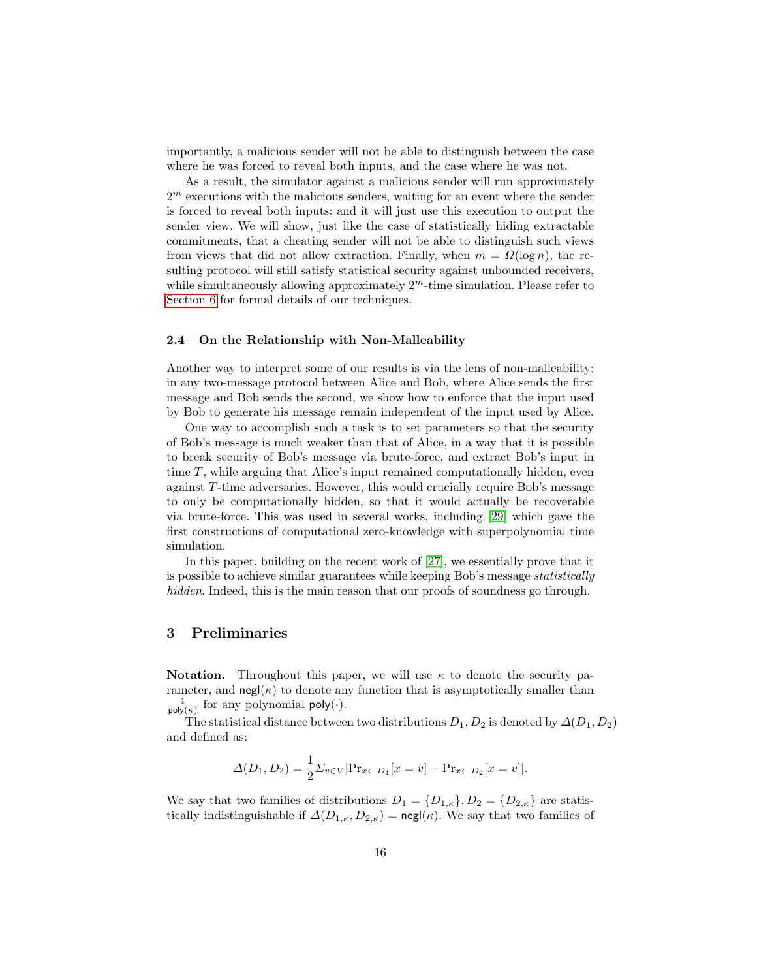importantly, a malicious sender will not be able to distinguish between the case where he was forced to reveal both inputs, and the case where he was not.

As a result, the simulator against a malicious sender will run approximately  $2<sup>m</sup>$  executions with the malicious senders, waiting for an event where the sender is forced to reveal both inputs: and it will just use this execution to output the sender view. We will show, just like the case of statistically hiding extractable commitments, that a cheating sender will not be able to distinguish such views from views that did not allow extraction. Finally, when  $m = \Omega(\log n)$ , the resulting protocol will still satisfy statistical security against unbounded receivers, while simultaneously allowing approximately  $2<sup>m</sup>$ -time simulation. Please refer to [Section 6](#page-26-0) for formal details of our techniques.

## 2.4 On the Relationship with Non-Malleability

Another way to interpret some of our results is via the lens of non-malleability: in any two-message protocol between Alice and Bob, where Alice sends the first message and Bob sends the second, we show how to enforce that the input used by Bob to generate his message remain independent of the input used by Alice.

One way to accomplish such a task is to set parameters so that the security of Bob's message is much weaker than that of Alice, in a way that it is possible to break security of Bob's message via brute-force, and extract Bob's input in time T, while arguing that Alice's input remained computationally hidden, even against T-time adversaries. However, this would crucially require Bob's message to only be computationally hidden, so that it would actually be recoverable via brute-force. This was used in several works, including [\[29\]](#page-31-0) which gave the first constructions of computational zero-knowledge with superpolynomial time simulation.

In this paper, building on the recent work of [\[27\]](#page-31-1), we essentially prove that it is possible to achieve similar guarantees while keeping Bob's message statistically hidden. Indeed, this is the main reason that our proofs of soundness go through.

# 3 Preliminaries

**Notation.** Throughout this paper, we will use  $\kappa$  to denote the security parameter, and  $\text{negl}(\kappa)$  to denote any function that is asymptotically smaller than  $\frac{1}{\text{poly}(\kappa)}$  for any polynomial  $\text{poly}(\cdot)$ .

The statistical distance between two distributions  $D_1, D_2$  is denoted by  $\Delta(D_1, D_2)$ and defined as:

$$
\Delta(D_1, D_2) = \frac{1}{2} \Sigma_{v \in V} |\Pr_{x \leftarrow D_1}[x = v] - \Pr_{x \leftarrow D_2}[x = v]|.
$$

We say that two families of distributions  $D_1 = \{D_{1,\kappa}\}, D_2 = \{D_{2,\kappa}\}\$  are statistically indistinguishable if  $\Delta(D_{1,\kappa}, D_{2,\kappa}) = \text{negl}(\kappa)$ . We say that two families of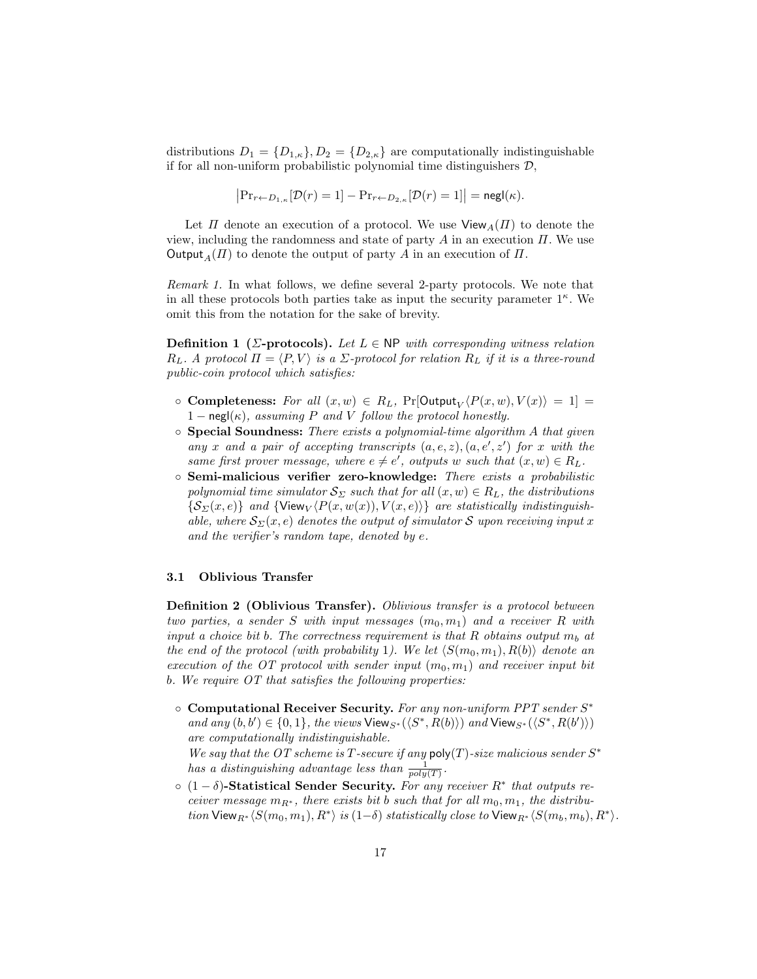distributions  $D_1 = \{D_{1,\kappa}\}, D_2 = \{D_{2,\kappa}\}\$ are computationally indistinguishable if for all non-uniform probabilistic polynomial time distinguishers  $D$ ,

$$
\left|\Pr_{r\leftarrow D_{1,\kappa}}[\mathcal{D}(r)=1]-\Pr_{r\leftarrow D_{2,\kappa}}[\mathcal{D}(r)=1]\right|=\mathsf{negl}(\kappa).
$$

Let  $\Pi$  denote an execution of a protocol. We use  $View_A(\Pi)$  to denote the view, including the randomness and state of party A in an execution  $\Pi$ . We use Output<sub>A</sub>( $\Pi$ ) to denote the output of party A in an execution of  $\Pi$ .

Remark 1. In what follows, we define several 2-party protocols. We note that in all these protocols both parties take as input the security parameter  $1<sup>\kappa</sup>$ . We omit this from the notation for the sake of brevity.

**Definition 1** ( $\Sigma$ -protocols). Let  $L \in NP$  with corresponding witness relation  $R_L$ . A protocol  $\Pi = \langle P, V \rangle$  is a  $\Sigma$ -protocol for relation  $R_L$  if it is a three-round public-coin protocol which satisfies:

- $\circ$  Completeness: For all  $(x, w) \in R_L$ , Pr[Output $_V\langle P(x, w), V(x) \rangle = 1$ ] =  $1 - \text{negl}(\kappa)$ , assuming P and V follow the protocol honestly.
- $\circ$  Special Soundness: There exists a polynomial-time algorithm A that given any x and a pair of accepting transcripts  $(a, e, z), (a, e', z')$  for x with the same first prover message, where  $e \neq e'$ , outputs w such that  $(x, w) \in R_L$ .
- Semi-malicious verifier zero-knowledge: There exists a probabilistic polynomial time simulator  $S_{\Sigma}$  such that for all  $(x, w) \in R_L$ , the distributions  $\{\mathcal{S}_{\Sigma}(x, e)\}\$  and  $\{\mathsf{View}_V\langle P(x, w(x)), V(x, e)\rangle\}\$  are statistically indistinguishable, where  $S_{\Sigma}(x, e)$  denotes the output of simulator S upon receiving input x and the verifier's random tape, denoted by e.

## 3.1 Oblivious Transfer

<span id="page-16-0"></span>Definition 2 (Oblivious Transfer). Oblivious transfer is a protocol between two parties, a sender S with input messages  $(m_0, m_1)$  and a receiver R with input a choice bit b. The correctness requirement is that R obtains output  $m_b$  at the end of the protocol (with probability 1). We let  $\langle S(m_0, m_1), R(b) \rangle$  denote an execution of the OT protocol with sender input  $(m_0, m_1)$  and receiver input bit b. We require OT that satisfies the following properties:

© Computational Receiver Security. For any non-uniform PPT sender S<sup>\*</sup> and any  $(b, b') \in \{0, 1\}$ , the views  $\mathsf{View}_{S^*}(\langle S^*, R(b) \rangle)$  and  $\mathsf{View}_{S^*}(\langle S^*, R(b') \rangle)$ are computationally indistinguishable. We say that the OT scheme is T-secure if any  $poly(T)$ -size malicious sender  $S^*$ 

has a distinguishing advantage less than  $\frac{1}{poly(T)}$ .

 $\circ$  (1 –  $\delta$ )-Statistical Sender Security. For any receiver  $R^*$  that outputs receiver message  $m_{R^*}$ , there exists bit b such that for all  $m_0, m_1$ , the distribution View<sub>R<sup>∗</sub></sup>  $\langle S(m_0, m_1), R^* \rangle$  is  $(1-\delta)$  statistically close to View<sub>R<sup>∗</sub></sup>  $\langle S(m_b, m_b), R^* \rangle$ .</sub></sub>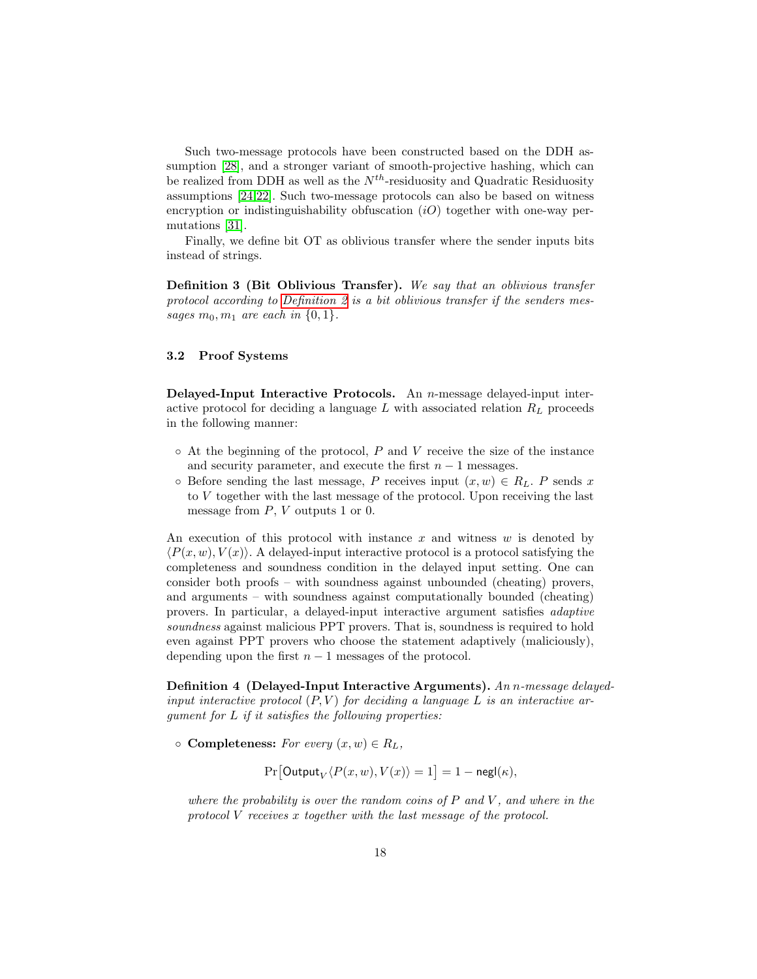Such two-message protocols have been constructed based on the DDH assumption [\[28\]](#page-31-2), and a stronger variant of smooth-projective hashing, which can be realized from DDH as well as the  $N^{th}$ -residuosity and Quadratic Residuosity assumptions [\[24](#page-30-8)[,22\]](#page-30-13). Such two-message protocols can also be based on witness encryption or indistinguishability obfuscation  $(iO)$  together with one-way permutations [\[31\]](#page-31-6).

Finally, we define bit OT as oblivious transfer where the sender inputs bits instead of strings.

Definition 3 (Bit Oblivious Transfer). We say that an oblivious transfer protocol according to [Definition 2](#page-16-0) is a bit oblivious transfer if the senders messages  $m_0, m_1$  are each in  $\{0, 1\}$ .

## 3.2 Proof Systems

Delayed-Input Interactive Protocols. An n-message delayed-input interactive protocol for deciding a language  $L$  with associated relation  $R_L$  proceeds in the following manner:

- $\circ$  At the beginning of the protocol, P and V receive the size of the instance and security parameter, and execute the first  $n-1$  messages.
- $\circ$  Before sending the last message, P receives input  $(x, w) \in R_L$ . P sends x to V together with the last message of the protocol. Upon receiving the last message from  $P, V$  outputs 1 or 0.

An execution of this protocol with instance x and witness  $w$  is denoted by  $\langle P(x, w), V(x) \rangle$ . A delayed-input interactive protocol is a protocol satisfying the completeness and soundness condition in the delayed input setting. One can consider both proofs – with soundness against unbounded (cheating) provers, and arguments – with soundness against computationally bounded (cheating) provers. In particular, a delayed-input interactive argument satisfies adaptive soundness against malicious PPT provers. That is, soundness is required to hold even against PPT provers who choose the statement adaptively (maliciously), depending upon the first  $n-1$  messages of the protocol.

Definition 4 (Delayed-Input Interactive Arguments). An n-message delayedinput interactive protocol  $(P, V)$  for deciding a language L is an interactive argument for L if it satisfies the following properties:

 $\circ$  Completeness: For every  $(x, w) \in R_L$ ,

 $\Pr\big[\mathsf{Output}_{V}\langle P(x,w),V(x)\rangle=1\big]=1-\mathsf{negl}(\kappa),$ 

where the probability is over the random coins of  $P$  and  $V$ , and where in the protocol V receives x together with the last message of the protocol.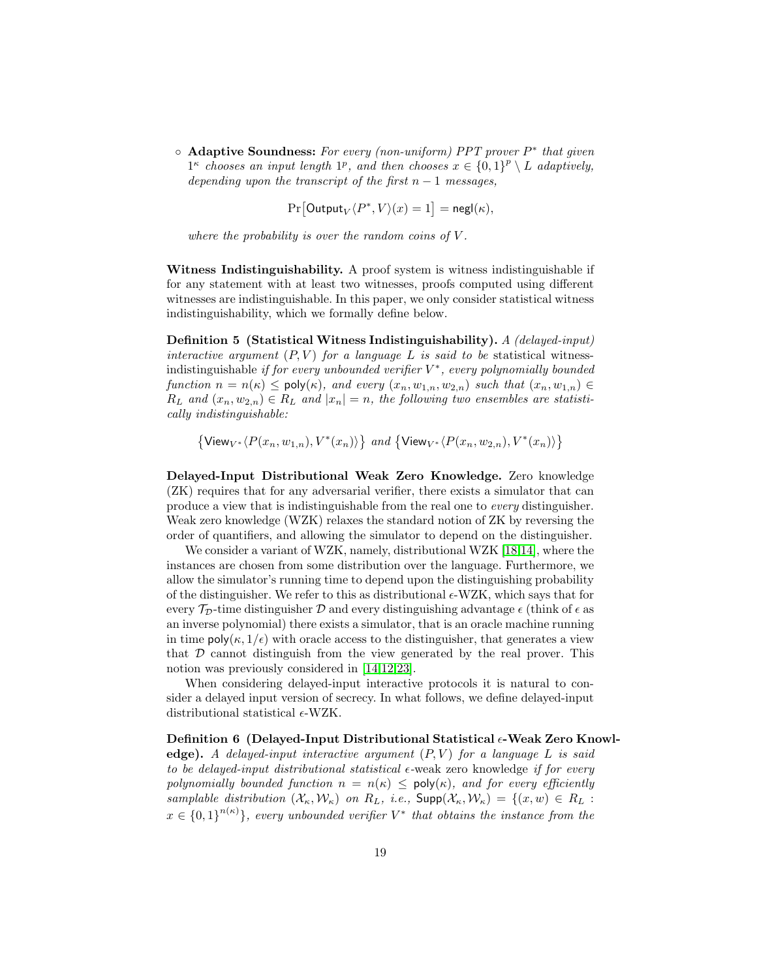$\circ$  Adaptive Soundness: For every (non-uniform) PPT prover  $P^*$  that given  $1^{\kappa}$  chooses an input length  $1^p$ , and then chooses  $x \in \{0,1\}^p \setminus L$  adaptively, depending upon the transcript of the first  $n-1$  messages,

 $\Pr\left[\mathsf{Output}_{V}\langle P^*, V\rangle(x)=1\right]=\mathsf{negl}(\kappa),$ 

where the probability is over the random coins of V .

Witness Indistinguishability. A proof system is witness indistinguishable if for any statement with at least two witnesses, proofs computed using different witnesses are indistinguishable. In this paper, we only consider statistical witness indistinguishability, which we formally define below.

<span id="page-18-1"></span>Definition 5 (Statistical Witness Indistinguishability). A (delayed-input) interactive argument  $(P, V)$  for a language L is said to be statistical witnessindistinguishable *if for every unbounded verifier*  $V^*$ , every polynomially bounded function  $n = n(\kappa) \leq \text{poly}(\kappa)$ , and every  $(x_n, w_{1,n}, w_{2,n})$  such that  $(x_n, w_{1,n}) \in$  $R_L$  and  $(x_n, w_{2,n}) \in R_L$  and  $|x_n| = n$ , the following two ensembles are statistically indistinguishable:

 $\{\mathsf{View}_{V^*}\langle P(x_n,w_{1,n}),V^*(x_n)\rangle\}$  and  $\{\mathsf{View}_{V^*}\langle P(x_n,w_{2,n}),V^*(x_n)\rangle\}$ 

Delayed-Input Distributional Weak Zero Knowledge. Zero knowledge (ZK) requires that for any adversarial verifier, there exists a simulator that can produce a view that is indistinguishable from the real one to every distinguisher. Weak zero knowledge (WZK) relaxes the standard notion of ZK by reversing the order of quantifiers, and allowing the simulator to depend on the distinguisher.

We consider a variant of WZK, namely, distributional WZK [\[18](#page-30-14)[,14\]](#page-30-15), where the instances are chosen from some distribution over the language. Furthermore, we allow the simulator's running time to depend upon the distinguishing probability of the distinguisher. We refer to this as distributional  $\epsilon$ -WZK, which says that for every  $\mathcal{T}_{\mathcal{D}}$ -time distinguisher D and every distinguishing advantage  $\epsilon$  (think of  $\epsilon$  as an inverse polynomial) there exists a simulator, that is an oracle machine running in time  $\mathsf{poly}(\kappa, 1/\epsilon)$  with oracle access to the distinguisher, that generates a view that  $\mathcal D$  cannot distinguish from the view generated by the real prover. This notion was previously considered in [\[14,](#page-30-15)[12](#page-30-16)[,23\]](#page-30-3).

When considering delayed-input interactive protocols it is natural to consider a delayed input version of secrecy. In what follows, we define delayed-input distributional statistical  $\epsilon$ -WZK.

<span id="page-18-0"></span>Definition 6 (Delayed-Input Distributional Statistical  $\epsilon$ -Weak Zero Knowledge). A delayed-input interactive argument  $(P, V)$  for a language L is said to be delayed-input distributional statistical  $\epsilon$ -weak zero knowledge if for every polynomially bounded function  $n = n(\kappa) \leq \text{poly}(\kappa)$ , and for every efficiently samplable distribution  $(\mathcal{X}_{\kappa}, \mathcal{W}_{\kappa})$  on  $R_L$ , i.e.,  $\text{Supp}(\mathcal{X}_{\kappa}, \mathcal{W}_{\kappa}) = \{(x, w) \in R_L :$  $x \in \{0,1\}^{n(\kappa)}\},$  every unbounded verifier  $V^*$  that obtains the instance from the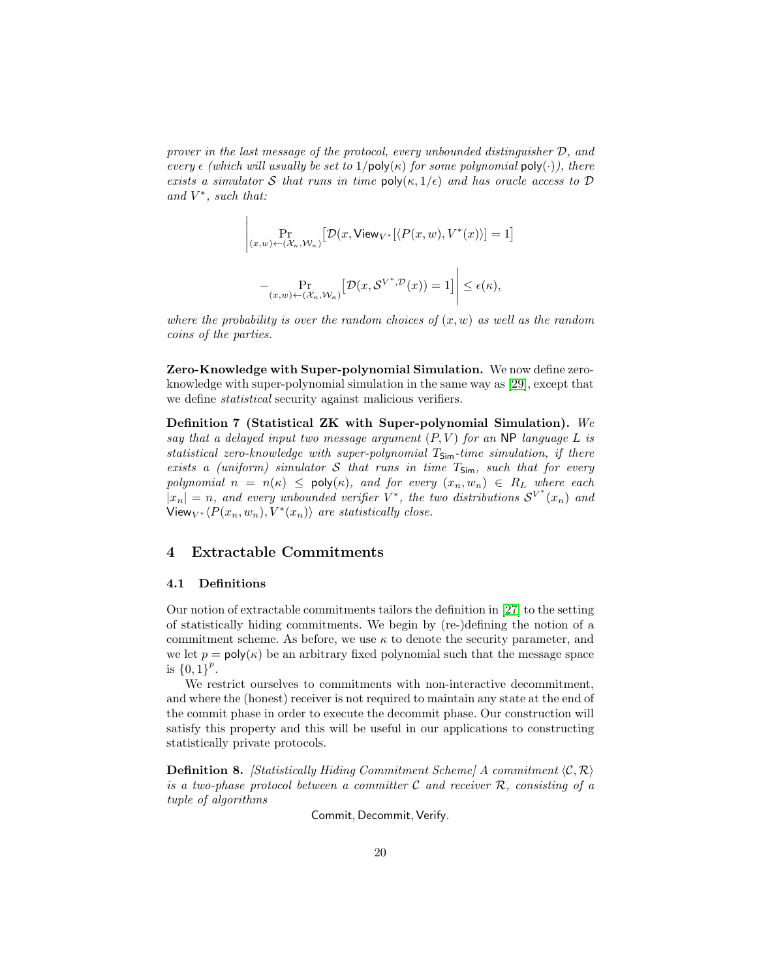prover in the last message of the protocol, every unbounded distinguisher D, and every  $\epsilon$  (which will usually be set to  $1/poly(\kappa)$  for some polynomial poly( $\cdot$ )), there exists a simulator S that runs in time  $\text{poly}(\kappa, 1/\epsilon)$  and has oracle access to D and  $V^*$ , such that:

<span id="page-19-0"></span>
$$
\left| \Pr_{(x,w)\leftarrow(\mathcal{X}_{\kappa},\mathcal{W}_{\kappa})} \left[ \mathcal{D}(x,\mathsf{View}_{V^*}[\langle P(x,w),V^*(x)\rangle] = 1 \right] \right|
$$
  

$$
-\Pr_{(x,w)\leftarrow(\mathcal{X}_{\kappa},\mathcal{W}_{\kappa})} \left[ \mathcal{D}(x,\mathcal{S}^{V^*,\mathcal{D}}(x)) = 1 \right] \leq \epsilon(\kappa),
$$

where the probability is over the random choices of  $(x, w)$  as well as the random coins of the parties.

Zero-Knowledge with Super-polynomial Simulation. We now define zeroknowledge with super-polynomial simulation in the same way as [\[29\]](#page-31-0), except that we define *statistical* security against malicious verifiers.

Definition 7 (Statistical ZK with Super-polynomial Simulation). We say that a delayed input two message argument  $(P, V)$  for an NP language L is statistical zero-knowledge with super-polynomial  $T_{\text{Sim}}$ -time simulation, if there exists a (uniform) simulator S that runs in time  $T_{Sim}$ , such that for every polynomial  $n = n(\kappa) \leq \text{poly}(\kappa)$ , and for every  $(x_n, w_n) \in R_L$  where each  $|x_n| = n$ , and every unbounded verifier  $V^*$ , the two distributions  $S^{V^*}(x_n)$  and View<sub>V</sub>\* $\langle P(x_n, w_n), V^*(x_n) \rangle$  are statistically close.

## 4 Extractable Commitments

#### 4.1 Definitions

Our notion of extractable commitments tailors the definition in [\[27\]](#page-31-1) to the setting of statistically hiding commitments. We begin by (re-)defining the notion of a commitment scheme. As before, we use  $\kappa$  to denote the security parameter, and we let  $p = poly(\kappa)$  be an arbitrary fixed polynomial such that the message space is  $\{0, 1\}^p$ .

We restrict ourselves to commitments with non-interactive decommitment, and where the (honest) receiver is not required to maintain any state at the end of the commit phase in order to execute the decommit phase. Our construction will satisfy this property and this will be useful in our applications to constructing statistically private protocols.

**Definition 8.** *[Statistically Hiding Commitment Scheme] A commitment*  $\langle \mathcal{C}, \mathcal{R} \rangle$ is a two-phase protocol between a committer  $\mathcal C$  and receiver  $\mathcal R$ , consisting of a tuple of algorithms

Commit, Decommit, Verify.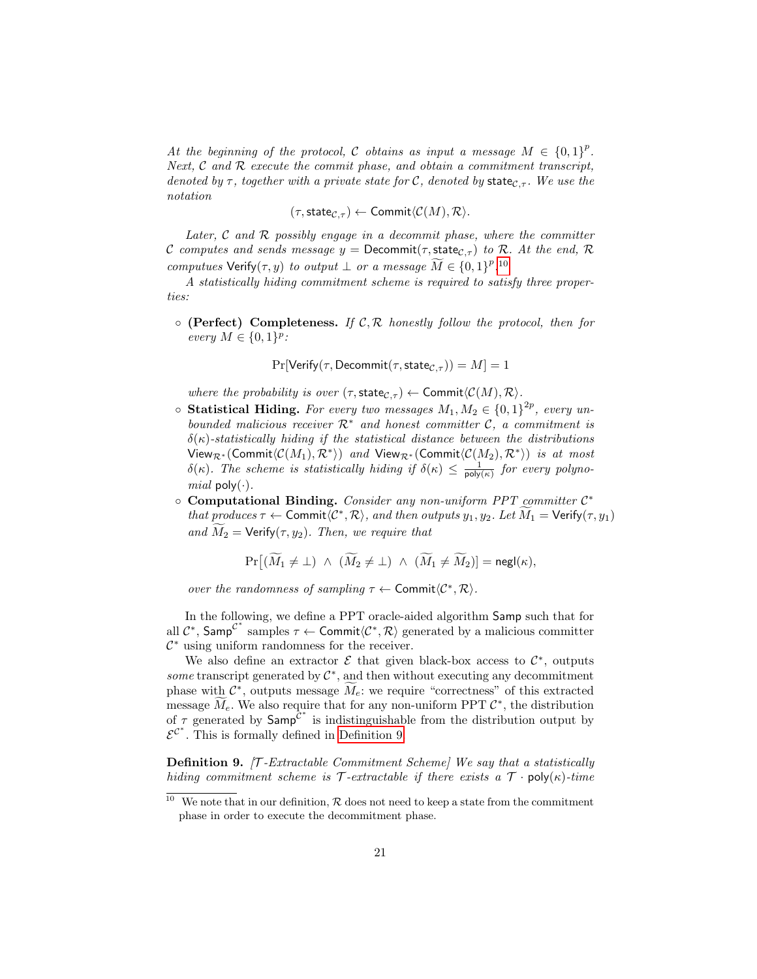At the beginning of the protocol, C obtains as input a message  $M \in \{0,1\}^p$ . Next,  $C$  and  $R$  execute the commit phase, and obtain a commitment transcript, denoted by  $\tau$ , together with a private state for C, denoted by state<sub>C, $\tau$ </sub>. We use the notation

$$
(\tau,\mathsf{state}_{\mathcal{C},\tau}) \leftarrow \mathsf{Commit}\langle \mathcal{C}(M), \mathcal{R} \rangle.
$$

Later,  $\mathcal C$  and  $\mathcal R$  possibly engage in a decommit phase, where the committer C computes and sends message  $y =$ Decommit $(\tau,$ state $_{C,\tau})$  to R. At the end, R computues  $Verify(\tau, y)$  to output  $\bot$  or a message  $\widetilde{M} \in \{0, 1\}^{p}$ .<sup>[10](#page-20-0)</sup>

A statistically hiding commitment scheme is required to satisfy three properties:

 $\circ$  (Perfect) Completeness. If C, R honestly follow the protocol, then for every  $M \in \{0,1\}^p$ :

 $Pr[Verify(\tau, Decommit(\tau, state_{\mathcal{C},\tau})) = M] = 1$ 

where the probability is over  $(\tau, \mathsf{state}_{\mathcal{C}, \tau}) \leftarrow \mathsf{Commit}(\mathcal{C}(M), \mathcal{R}).$ 

- $\circ$  Statistical Hiding. For every two messages  $M_1, M_2 \in \{0,1\}^{2p}$ , every unbounded malicious receiver  $\mathcal{R}^*$  and honest committer  $\mathcal{C}$ , a commitment is  $\delta(\kappa)$ -statistically hiding if the statistical distance between the distributions View ${}_{\mathcal{R}^*}(\mathsf{Commit}\langle\mathcal{C}(M_1),\mathcal{R}^*\rangle)$  and View ${}_{\mathcal{R}^*}(\mathsf{Commit}\langle\mathcal{C}(M_2),\mathcal{R}^*\rangle)$  is at most  $\delta(\kappa)$ . The scheme is statistically hiding if  $\delta(\kappa) \leq \frac{1}{\text{poly}(\kappa)}$  for every polyno $mid$  poly( $\cdot$ ).
- $\circ$  Computational Binding. Consider any non-uniform PPT committer  $C^*$ that produces  $\tau \leftarrow \text{Commit}\langle C^*, \mathcal{R} \rangle$ , and then outputs  $y_1, y_2$ . Let  $\widetilde{M}_1 = \text{Verify}(\tau, y_1)$ and  $\widetilde{M}_2$  = Verify( $\tau, y_2$ ). Then, we require that

$$
\Pr\big[(\widetilde{M}_1 \neq \bot) \ \wedge \ (\widetilde{M}_2 \neq \bot) \ \wedge \ (\widetilde{M}_1 \neq \widetilde{M}_2)\big] = \mathsf{negl}(\kappa),
$$

over the randomness of sampling  $\tau \leftarrow \text{Commit}\langle C^*, \mathcal{R} \rangle$ .

In the following, we define a PPT oracle-aided algorithm Samp such that for all  $\mathcal{C}^*$ , Samp $\mathcal{C}^*$  samples  $\tau \leftarrow$  Commit $\langle \mathcal{C}^*, \mathcal{R} \rangle$  generated by a malicious committer  $\mathcal{C}^*$  using uniform randomness for the receiver.

We also define an extractor  $\mathcal E$  that given black-box access to  $\mathcal C^*$ , outputs some transcript generated by  $\mathcal{C}^*$ , and then without executing any decommitment phase with  $\mathcal{C}^*$ , outputs message  $\widetilde{M}_e$ : we require "correctness" of this extracted message  $\widetilde{M}_e$ . We also require that for any non-uniform PPT  $\mathcal{C}^*$ , the distribution of  $\tau$  generated by Samp<sup> $\dot{c}^*$ </sup> is indistinguishable from the distribution output by  $\mathcal{E}^{\mathcal{C}^*}$ . This is formally defined in [Definition 9.](#page-20-1)

<span id="page-20-1"></span>**Definition 9.**  $\mathcal{T}$ -Extractable Commitment Scheme] We say that a statistically hiding commitment scheme is  $\mathcal{T}$ -extractable if there exists a  $\mathcal{T}$  · poly( $\kappa$ )-time

<span id="page-20-0"></span><sup>&</sup>lt;sup>10</sup> We note that in our definition,  $R$  does not need to keep a state from the commitment phase in order to execute the decommitment phase.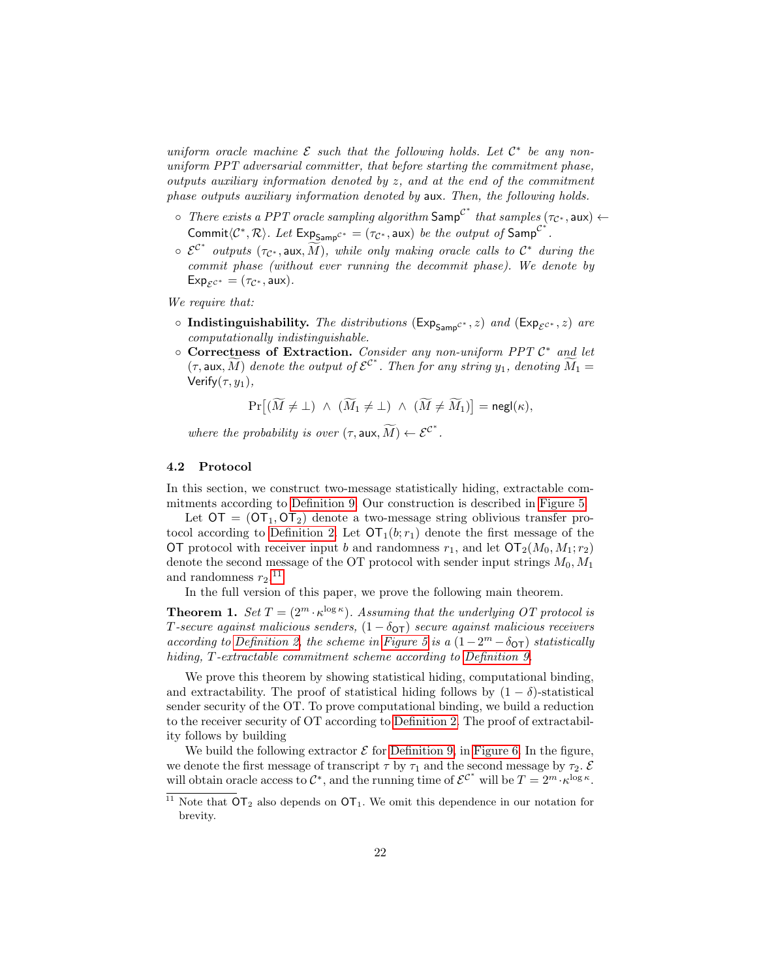uniform oracle machine  $\mathcal E$  such that the following holds. Let  $\mathcal C^*$  be any nonuniform PPT adversarial committer, that before starting the commitment phase, outputs auxiliary information denoted by z, and at the end of the commitment phase outputs auxiliary information denoted by aux. Then, the following holds.

- $\circ$  There exists a PPT oracle sampling algorithm  $\mathsf{Samp}^{\mathcal{C}^*}$  that samples  $(\tau_{\mathcal{C}^*}, \mathsf{aux}) \leftarrow$ Commit $\langle C^*, \mathcal{R} \rangle$ . Let  $Exp_{Samp}c^* = (\tau_{C^*}, \text{aux})$  be the output of  $Samp^{C^*}.$
- $\circ \mathcal{E}^{\mathcal{C}^*}$  outputs  $(\tau_{\mathcal{C}^*}, \text{aux}, \widetilde{M})$ , while only making oracle calls to  $\mathcal{C}^*$  during the commit phase (without ever running the decommit phase). We denote by  $Exp_{\mathcal{E}C^*} = (\tau_{\mathcal{C}^*}, aux).$

We require that:

- **Indistinguishability.** The distributions ( $Exp_{Samp}c^*, z$ ) and ( $Exp_{\mathcal{E}c^*}, z$ ) are computationally indistinguishable.
- Correctness of Extraction. Consider any non-uniform PPT C <sup>∗</sup> and let  $(\tau, \text{aux}, \widetilde{M})$  denote the output of  $\mathcal{E}^{\mathcal{C}^*}$ . Then for any string  $y_1$ , denoting  $\widetilde{M}_1 =$ Verify $(\tau, y_1)$ ,

$$
\Pr[(\widetilde{M} \neq \bot) \ \wedge \ (\widetilde{M}_1 \neq \bot) \ \wedge \ (\widetilde{M} \neq \widetilde{M}_1)] = \mathsf{negl}(\kappa),
$$

where the probability is over  $(\tau, \text{aux}, \widetilde{M}) \leftarrow \mathcal{E}^{\mathcal{C}^*}.$ 

#### 4.2 Protocol

In this section, we construct two-message statistically hiding, extractable commitments according to [Definition 9.](#page-20-1) Our construction is described in [Figure 5.](#page-22-1)

Let  $\overline{OT} = (\overline{OT}_1, \overline{OT}_2)$  denote a two-message string oblivious transfer pro-tocol according to [Definition 2.](#page-16-0) Let  $\mathsf{OT}_1(b; r_1)$  denote the first message of the OT protocol with receiver input b and randomness  $r_1$ , and let  $\mathsf{OT}_2(M_0, M_1; r_2)$ denote the second message of the OT protocol with sender input strings  $M_0, M_1$ and randomness  $r_2$ <sup>[11](#page-21-0)</sup>

In the full version of this paper, we prove the following main theorem.

**Theorem 1.** Set  $T = (2^m \cdot \kappa^{\log \kappa})$ . Assuming that the underlying OT protocol is T-secure against malicious senders,  $(1 - \delta_{\text{OT}})$  secure against malicious receivers according to [Definition 2,](#page-16-0) the scheme in [Figure 5](#page-22-1) is a  $(1-2<sup>m</sup> - \delta_{\text{OT}})$  statistically hiding, T-extractable commitment scheme according to [Definition 9.](#page-20-1)

We prove this theorem by showing statistical hiding, computational binding, and extractability. The proof of statistical hiding follows by  $(1 - \delta)$ -statistical sender security of the OT. To prove computational binding, we build a reduction to the receiver security of OT according to [Definition 2.](#page-16-0) The proof of extractability follows by building

We build the following extractor  $\mathcal E$  for [Definition 9,](#page-20-1) in [Figure 6.](#page-23-1) In the figure, we denote the first message of transcript  $\tau$  by  $\tau_1$  and the second message by  $\tau_2$ .  $\mathcal{E}$ will obtain oracle access to  $\mathcal{C}^*$ , and the running time of  $\mathcal{E}^{\mathcal{C}^*}$  will be  $T = 2^m \cdot \kappa^{\log \kappa}$ .

<span id="page-21-0"></span><sup>&</sup>lt;sup>11</sup> Note that  $\overline{OT}_2$  also depends on  $\overline{OT}_1$ . We omit this dependence in our notation for brevity.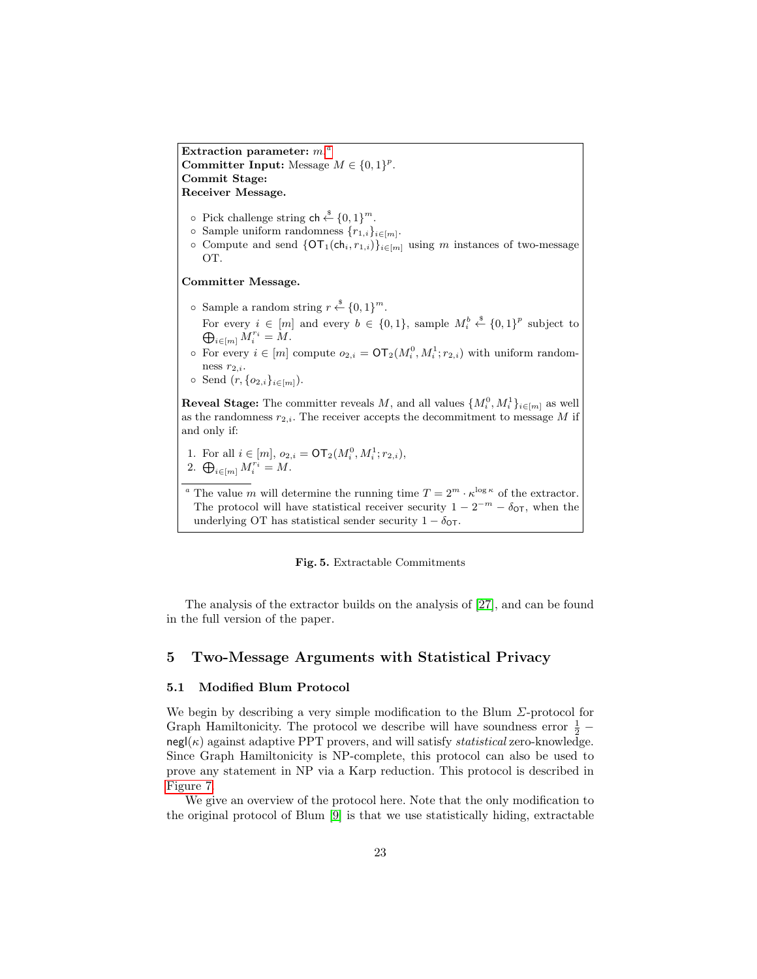Extr[a](#page-22-2)ction parameter:  $m<sup>a</sup>$ Committer Input: Message  $M \in \{0,1\}^p$ . Commit Stage: Receiver Message.

∘ Pick challenge string  $\mathsf{ch} \stackrel{\hspace{0.1em}\mathsf{\scriptscriptstyle\$}}{\leftarrow} \{0,1\}^m$ .

- $\circ$  Sample uniform randomness  $\{r_{1,i}\}_{i\in[m]}$ .
- Compute and send  $\{OT_1(ch_i, r_{1,i})\}_{i \in [m]}$  using m instances of two-message OT.

#### Committer Message.

- $\circ$  Sample a random string  $r \stackrel{\$}{\leftarrow} \{0,1\}^m$ .
- For every  $i \in [m]$  and every  $b \in \{0,1\}$ , sample  $M_i^b \stackrel{\$}{\leftarrow} \{0,1\}^p$  subject to  $\bigoplus_{i\in[m]} M_i^{r_i} = M.$
- For every  $i \in [m]$  compute  $o_{2,i} = \text{OT}_2(M_i^0, M_i^1; r_{2,i})$  with uniform randomness  $r_{2,i}$ .
- Send  $(r, \{o_{2,i}\}_{i \in [m]})$ .

**Reveal Stage:** The committer reveals M, and all values  $\{M_i^0, M_i^1\}_{i \in [m]}$  as well as the randomness  $r_{2,i}$ . The receiver accepts the decommitment to message M if and only if:

- 1. For all  $i \in [m]$ ,  $o_{2,i} = \textsf{OT}_2(M_i^0, M_i^1; r_{2,i}),$ 2.  $\bigoplus_{i \in [m]} M_i^{r_i} = M$ .
- <span id="page-22-2"></span><sup>a</sup> The value m will determine the running time  $T = 2^m \cdot \kappa^{\log \kappa}$  of the extractor. The protocol will have statistical receiver security  $1 - 2^{-m} - \delta_{\text{OT}}$ , when the underlying OT has statistical sender security  $1 - \delta_{\text{OT}}$ .

<span id="page-22-1"></span>Fig. 5. Extractable Commitments

The analysis of the extractor builds on the analysis of [\[27\]](#page-31-1), and can be found in the full version of the paper.

## 5 Two-Message Arguments with Statistical Privacy

## <span id="page-22-0"></span>5.1 Modified Blum Protocol

We begin by describing a very simple modification to the Blum  $\Sigma$ -protocol for Graph Hamiltonicity. The protocol we describe will have soundness error  $\frac{1}{2}$  –  $negl(\kappa)$  against adaptive PPT provers, and will satisfy *statistical* zero-knowledge. Since Graph Hamiltonicity is NP-complete, this protocol can also be used to prove any statement in NP via a Karp reduction. This protocol is described in [Figure 7.](#page-24-0)

We give an overview of the protocol here. Note that the only modification to the original protocol of Blum [\[9\]](#page-30-12) is that we use statistically hiding, extractable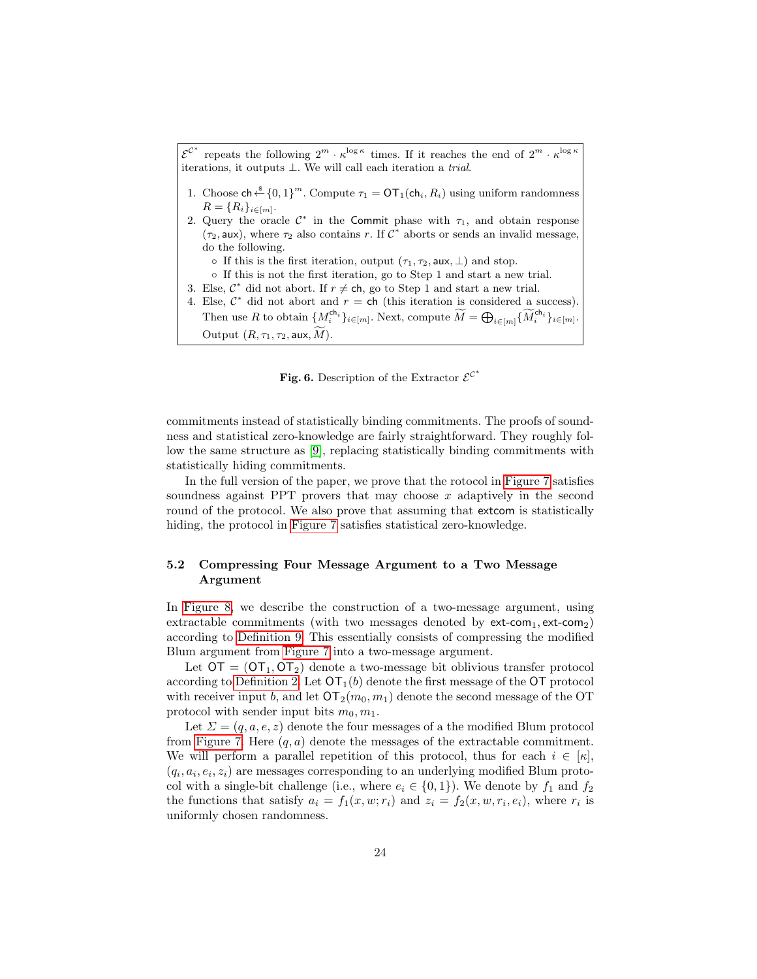$\mathcal{E}^{\mathcal{C}^*}$  repeats the following  $2^m \cdot \kappa^{\log \kappa}$  times. If it reaches the end of  $2^m \cdot \kappa^{\log \kappa}$ iterations, it outputs ⊥. We will call each iteration a trial.

- 1. Choose ch  $\stackrel{\$}{\leftarrow} \{0,1\}^m$ . Compute  $\tau_1 = \mathsf{OT}_1(\mathsf{ch}_i, R_i)$  using uniform randomness  $R = \{R_i\}_{i \in [m]}$ .
- 2. Query the oracle  $\mathcal{C}^*$  in the Commit phase with  $\tau_1$ , and obtain response  $(\tau_2, \text{aux})$ , where  $\tau_2$  also contains r. If  $\mathcal{C}^*$  aborts or sends an invalid message, do the following.
	- $\circ$  If this is the first iteration, output  $(\tau_1, \tau_2, \text{aux}, \perp)$  and stop.
	- If this is not the first iteration, go to Step 1 and start a new trial.
- 3. Else,  $C^*$  did not abort. If  $r \neq ch$ , go to Step 1 and start a new trial.
- 4. Else,  $\mathcal{C}^*$  did not abort and  $r =$  ch (this iteration is considered a success). Then use R to obtain  $\{M_i^{\text{ch}_i}\}_{i \in [m]}$ . Next, compute  $\widetilde{M} = \bigoplus_{i \in [m]} \{\widetilde{M}_i^{\text{ch}_i}\}_{i \in [m]}$ . Output  $(R, \tau_1, \tau_2, \text{aux}, \widetilde{M}).$

<span id="page-23-1"></span>Fig. 6. Description of the Extractor  $\mathcal{E}^{\mathcal{C}^*}$ 

commitments instead of statistically binding commitments. The proofs of soundness and statistical zero-knowledge are fairly straightforward. They roughly follow the same structure as [\[9\]](#page-30-12), replacing statistically binding commitments with statistically hiding commitments.

In the full version of the paper, we prove that the rotocol in [Figure 7](#page-24-0) satisfies soundness against PPT provers that may choose  $x$  adaptively in the second round of the protocol. We also prove that assuming that extcom is statistically hiding, the protocol in [Figure 7](#page-24-0) satisfies statistical zero-knowledge.

# <span id="page-23-0"></span>5.2 Compressing Four Message Argument to a Two Message Argument

In [Figure 8,](#page-25-0) we describe the construction of a two-message argument, using extractable commitments (with two messages denoted by  $ext{ext-com}_1, ext{com}_2$ ) according to [Definition 9.](#page-20-1) This essentially consists of compressing the modified Blum argument from [Figure 7](#page-24-0) into a two-message argument.

Let  $OT = (OT_1, OT_2)$  denote a two-message bit oblivious transfer protocol according to [Definition 2.](#page-16-0) Let  $\overline{OT}_1(b)$  denote the first message of the OT protocol with receiver input b, and let  $\mathsf{OT}_2(m_0, m_1)$  denote the second message of the OT protocol with sender input bits  $m_0, m_1$ .

Let  $\Sigma = (q, a, e, z)$  denote the four messages of a the modified Blum protocol from [Figure 7.](#page-24-0) Here  $(q, a)$  denote the messages of the extractable commitment. We will perform a parallel repetition of this protocol, thus for each  $i \in [\kappa]$ ,  $(q_i, a_i, e_i, z_i)$  are messages corresponding to an underlying modified Blum protocol with a single-bit challenge (i.e., where  $e_i \in \{0,1\}$ ). We denote by  $f_1$  and  $f_2$ the functions that satisfy  $a_i = f_1(x, w; r_i)$  and  $z_i = f_2(x, w, r_i, e_i)$ , where  $r_i$  is uniformly chosen randomness.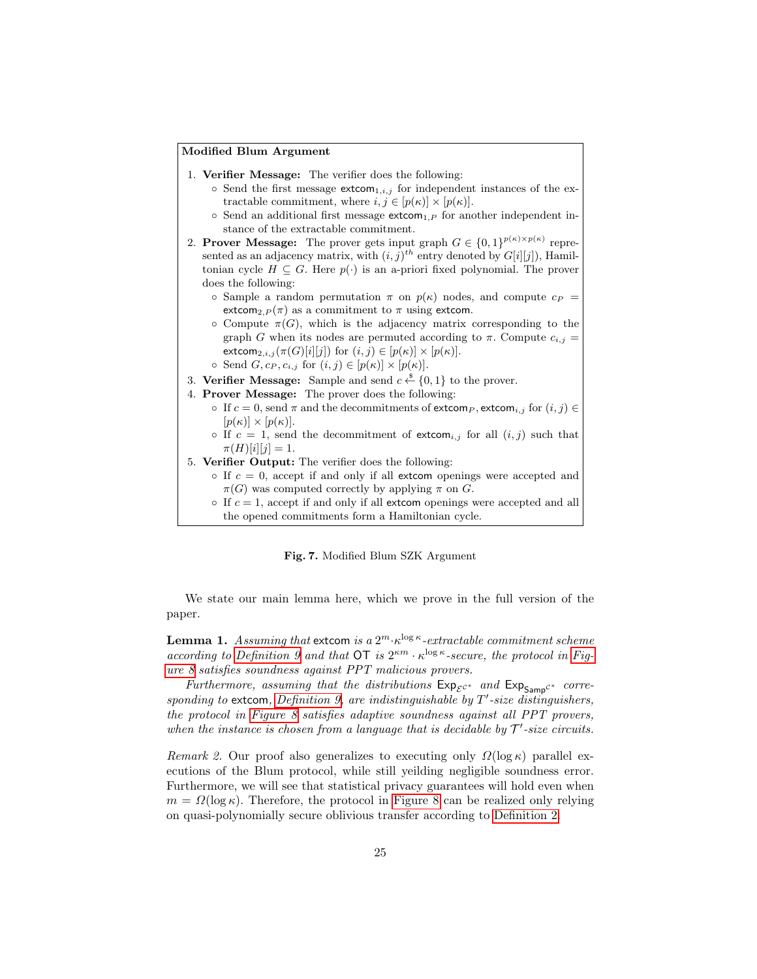#### Modified Blum Argument

- 1. Verifier Message: The verifier does the following:
	- $\circ$  Send the first message extcom<sub>1,*i,j*</sub> for independent instances of the extractable commitment, where  $i, j \in [p(\kappa)] \times [p(\kappa)].$
	- $\circ$  Send an additional first message extcom<sub>1,P</sub> for another independent instance of the extractable commitment.

2. **Prover Message:** The prover gets input graph  $G \in \{0,1\}^{p(\kappa) \times p(\kappa)}$  represented as an adjacency matrix, with  $(i, j)^{th}$  entry denoted by  $G[i][j])$ , Hamiltonian cycle  $H \subseteq G$ . Here  $p(\cdot)$  is an a-priori fixed polynomial. The prover does the following:

- $\circ$  Sample a random permutation  $\pi$  on  $p(\kappa)$  nodes, and compute  $c_P =$ extcom<sub>2,P</sub> $(\pi)$  as a commitment to  $\pi$  using extcom.
- $\circ$  Compute  $\pi(G)$ , which is the adjacency matrix corresponding to the graph G when its nodes are permuted according to  $\pi$ . Compute  $c_{i,j}$  = extcom<sub>2,i,j</sub> ( $\pi(G)[i][j])$  for  $(i, j) \in [p(\kappa)] \times [p(\kappa)]$ .
- $\circ$  Send  $G, c_P, c_{i,j}$  for  $(i, j) \in [p(\kappa)] \times [p(\kappa)].$
- 3. Verifier Message: Sample and send  $c \stackrel{\$}{\leftarrow} \{0,1\}$  to the prover.
- 4. Prover Message: The prover does the following:
	- $\circ$  If  $c = 0$ , send  $\pi$  and the decommitments of extcom<sub>P</sub>, extcom<sub>i,j</sub> for  $(i, j) \in$  $[p(\kappa)] \times [p(\kappa)].$
	- If  $c = 1$ , send the decommitment of extcom<sub>i,j</sub> for all  $(i, j)$  such that  $\pi(H)[i][j] = 1.$
- 5. Verifier Output: The verifier does the following:
	- $\circ$  If  $c = 0$ , accept if and only if all extcom openings were accepted and  $\pi(G)$  was computed correctly by applying  $\pi$  on G.
	- $\circ$  If  $c = 1$ , accept if and only if all extcom openings were accepted and all the opened commitments form a Hamiltonian cycle.

#### <span id="page-24-0"></span>Fig. 7. Modified Blum SZK Argument

We state our main lemma here, which we prove in the full version of the paper.

**Lemma 1.** Assuming that extcom is a  $2^m \cdot \kappa^{\log \kappa}$ -extractable commitment scheme according to [Definition 9](#page-20-1) and that  $\mathsf{OT}$  is  $2^{\kappa m} \cdot \kappa^{\log \kappa}$ -secure, the protocol in [Fig](#page-25-0)[ure 8](#page-25-0) satisfies soundness against PPT malicious provers.

Furthermore, assuming that the distributions  $Exp_{\mathcal{E}^{c^*}}$  and  $Exp_{Samp^{c^*}}$  corre-sponding to extcom, [Definition 9,](#page-20-1) are indistinguishable by  $T'$ -size distinguishers, the protocol in [Figure 8](#page-25-0) satisfies adaptive soundness against all PPT provers, when the instance is chosen from a language that is decidable by  $\mathcal{T}'$ -size circuits.

Remark 2. Our proof also generalizes to executing only  $\Omega(\log \kappa)$  parallel executions of the Blum protocol, while still yeilding negligible soundness error. Furthermore, we will see that statistical privacy guarantees will hold even when  $m = \Omega(\log \kappa)$ . Therefore, the protocol in [Figure 8](#page-25-0) can be realized only relying on quasi-polynomially secure oblivious transfer according to [Definition 2.](#page-16-0)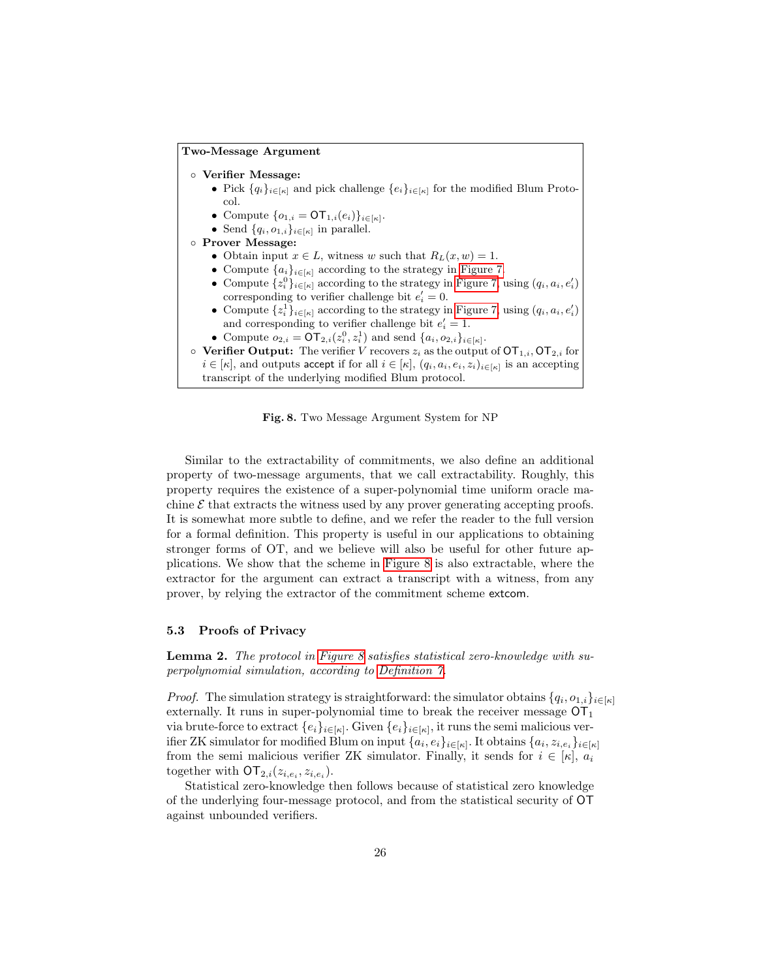#### Two-Message Argument

◦ Verifier Message:

- Pick  $\{q_i\}_{i\in[\kappa]}$  and pick challenge  $\{e_i\}_{i\in[\kappa]}$  for the modified Blum Protocol.
- Compute  $\{o_{1,i} = \textsf{OT}_{1,i}(e_i)\}_{i \in [\kappa]}$ .
- Send  $\{q_i, o_{1,i}\}_{i \in [\kappa]}$  in parallel.

◦ Prover Message:

- Obtain input  $x \in L$ , witness w such that  $R_L(x, w) = 1$ .
- Compute  $\{a_i\}_{i\in[\kappa]}$  according to the strategy in [Figure 7.](#page-24-0)
- Compute  $\{z_i^0\}_{i\in[\kappa]}$  according to the strategy in [Figure 7,](#page-24-0) using  $(q_i, a_i, e'_i)$ corresponding to verifier challenge bit  $e'_i = 0$ .
- Compute  $\{z_i^1\}_{i\in[\kappa]}$  according to the strategy in [Figure 7,](#page-24-0) using  $(q_i, a_i, e'_i)$ and corresponding to verifier challenge bit  $e'_i = 1$ .
- Compute  $o_{2,i} = \textsf{OT}_{2,i}(z_i^0, z_i^1)$  and send  $\{a_i, o_{2,i}\}_{i \in [\kappa]}$ .
- $\circ$  Verifier Output: The verifier V recovers  $z_i$  as the output of  $\overline{OT}_{1,i}, \overline{OT}_{2,i}$  for  $i \in [\kappa]$ , and outputs accept if for all  $i \in [\kappa]$ ,  $(q_i, a_i, e_i, z_i)_{i \in [\kappa]}$  is an accepting transcript of the underlying modified Blum protocol.

<span id="page-25-0"></span>Fig. 8. Two Message Argument System for NP

Similar to the extractability of commitments, we also define an additional property of two-message arguments, that we call extractability. Roughly, this property requires the existence of a super-polynomial time uniform oracle machine  $\mathcal E$  that extracts the witness used by any prover generating accepting proofs. It is somewhat more subtle to define, and we refer the reader to the full version for a formal definition. This property is useful in our applications to obtaining stronger forms of OT, and we believe will also be useful for other future applications. We show that the scheme in [Figure 8](#page-25-0) is also extractable, where the extractor for the argument can extract a transcript with a witness, from any prover, by relying the extractor of the commitment scheme extcom.

#### 5.3 Proofs of Privacy

<span id="page-25-1"></span>Lemma 2. The protocol in [Figure 8](#page-25-0) satisfies statistical zero-knowledge with superpolynomial simulation, according to [Definition 7.](#page-19-0)

*Proof.* The simulation strategy is straightforward: the simulator obtains  $\{q_i, o_{1,i}\}_{i \in [\kappa]}$ externally. It runs in super-polynomial time to break the receiver message  $OT<sub>1</sub>$ via brute-force to extract  $\{e_i\}_{i\in[\kappa]}$ . Given  $\{e_i\}_{i\in[\kappa]}$ , it runs the semi malicious verifier ZK simulator for modified Blum on input  $\{a_i, e_i\}_{i \in [\kappa]}$ . It obtains  $\{a_i, z_{i, e_i}\}_{i \in [\kappa]}$ from the semi malicious verifier ZK simulator. Finally, it sends for  $i \in [\kappa]$ ,  $a_i$ together with  $\text{OT}_{2,i}(z_{i,e_i}, z_{i,e_i})$ .

Statistical zero-knowledge then follows because of statistical zero knowledge of the underlying four-message protocol, and from the statistical security of OT against unbounded verifiers.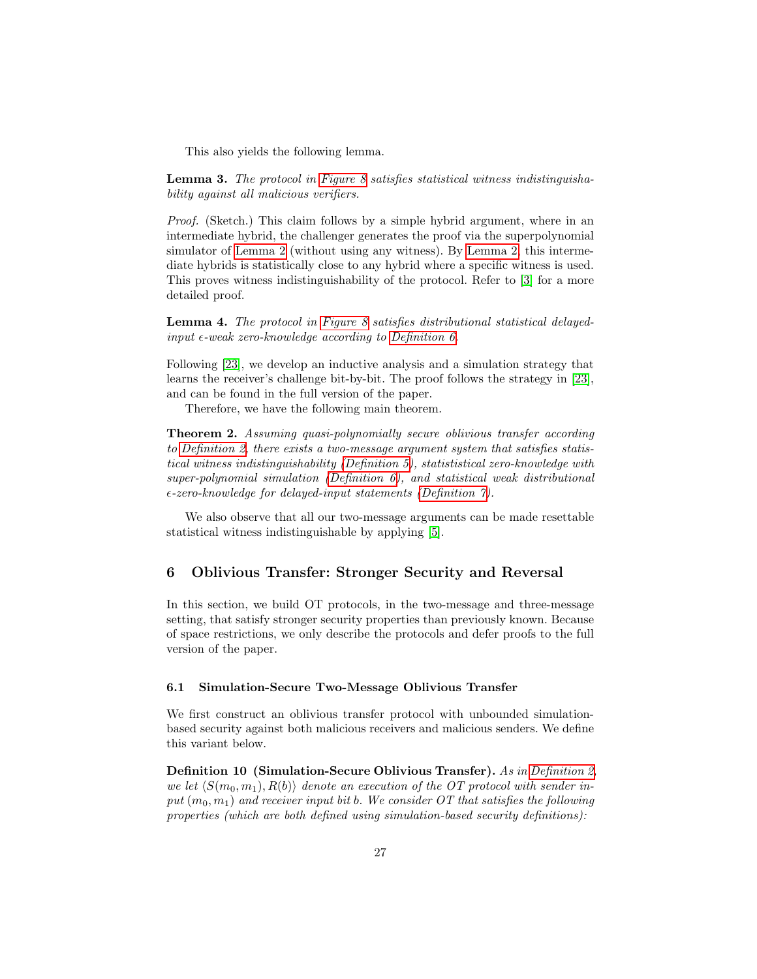This also yields the following lemma.

Lemma 3. The protocol in [Figure 8](#page-25-0) satisfies statistical witness indistinguishability against all malicious verifiers.

Proof. (Sketch.) This claim follows by a simple hybrid argument, where in an intermediate hybrid, the challenger generates the proof via the superpolynomial simulator of [Lemma 2](#page-25-1) (without using any witness). By [Lemma 2,](#page-25-1) this intermediate hybrids is statistically close to any hybrid where a specific witness is used. This proves witness indistinguishability of the protocol. Refer to [\[3\]](#page-29-5) for a more detailed proof.

Lemma 4. The protocol in [Figure 8](#page-25-0) satisfies distributional statistical delayedinput  $\epsilon$ -weak zero-knowledge according to [Definition 6.](#page-18-0)

Following [\[23\]](#page-30-3), we develop an inductive analysis and a simulation strategy that learns the receiver's challenge bit-by-bit. The proof follows the strategy in [\[23\]](#page-30-3), and can be found in the full version of the paper.

Therefore, we have the following main theorem.

Theorem 2. Assuming quasi-polynomially secure oblivious transfer according to [Definition 2,](#page-16-0) there exists a two-message argument system that satisfies statistical witness indistinguishability [\(Definition 5\)](#page-18-1), statististical zero-knowledge with super-polynomial simulation [\(Definition 6\)](#page-18-0), and statistical weak distributional  $\epsilon$ -zero-knowledge for delayed-input statements [\(Definition 7\)](#page-19-0).

We also observe that all our two-message arguments can be made resettable statistical witness indistinguishable by applying [\[5\]](#page-29-7).

# <span id="page-26-0"></span>6 Oblivious Transfer: Stronger Security and Reversal

In this section, we build OT protocols, in the two-message and three-message setting, that satisfy stronger security properties than previously known. Because of space restrictions, we only describe the protocols and defer proofs to the full version of the paper.

#### 6.1 Simulation-Secure Two-Message Oblivious Transfer

We first construct an oblivious transfer protocol with unbounded simulationbased security against both malicious receivers and malicious senders. We define this variant below.

<span id="page-26-1"></span>Definition 10 (Simulation-Secure Oblivious Transfer). As in [Definition 2,](#page-16-0) we let  $\langle S(m_0, m_1), R(b) \rangle$  denote an execution of the OT protocol with sender input  $(m_0, m_1)$  and receiver input bit b. We consider OT that satisfies the following properties (which are both defined using simulation-based security definitions):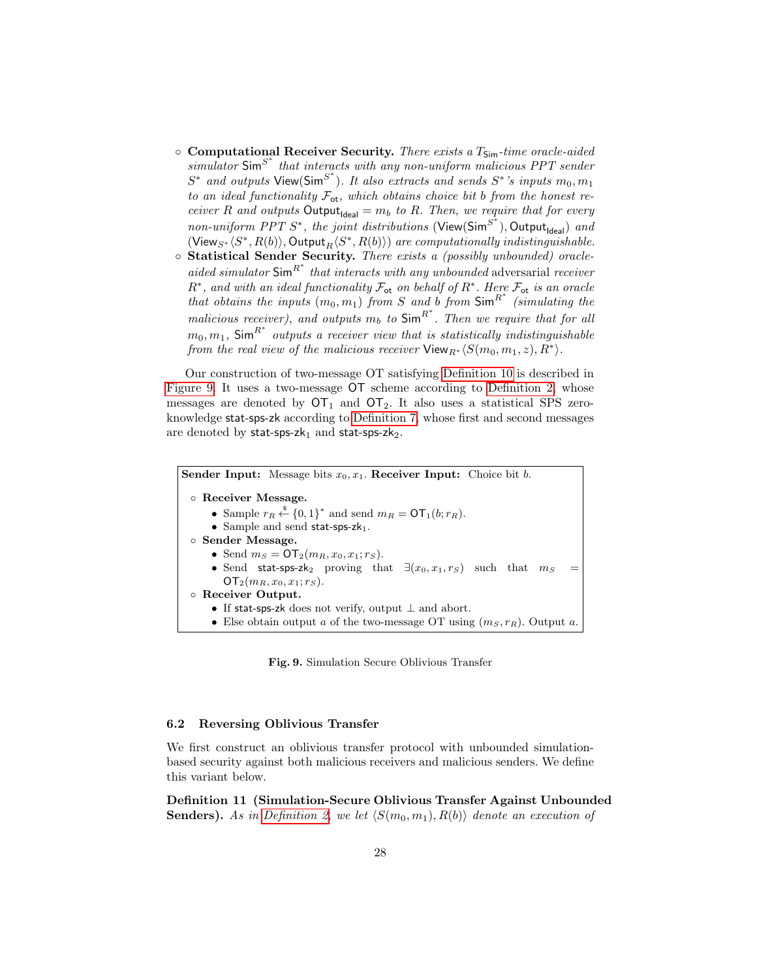- Computational Receiver Security. There exists a TSim-time oracle-aided  $\sum_{i=1}^{\infty}$  simulator Sim<sup>S\*</sup> that interacts with any non-uniform malicious PPT sender  $S^*$  and outputs View(Sim<sup>S\*</sup>). It also extracts and sends  $S^*$ 's inputs  $m_0, m_1$ to an ideal functionality  $\mathcal{F}_{\text{ot}}$ , which obtains choice bit b from the honest receiver R and outputs Output<sub>Ideal</sub> =  $m_b$  to R. Then, we require that for every non-uniform PPT  $S^*$ , the joint distributions (View(Sim<sup> $S^*$ </sup>), Output<sub>Ideal</sub>) and  $(\mathsf{View}_{S^*}\langle S^*, R(b)\rangle, \mathsf{Output}_R\langle S^*, R(b)\rangle)$  are computationally indistinguishable.
- Statistical Sender Security. There exists a (possibly unbounded) oracleaided simulator  $\textsf{Sim}^{R^*}$  that interacts with any unbounded adversarial receiver  $R^*$ , and with an ideal functionality  $\mathcal{F}_{\text{ot}}$  on behalf of  $R^*$ . Here  $\mathcal{F}_{\text{ot}}$  is an oracle that obtains the inputs  $(m_0, m_1)$  from S and b from Sim<sup>R\*</sup> (simulating the malicious receiver), and outputs  $m_b$  to  $\textsf{Sim}^{\textsf{R}^*}$ . Then we require that for all  $m_0, m_1$ , Sim<sup>R\*</sup> outputs a receiver view that is statistically indistinguishable from the real view of the malicious receiver  $\mathsf{View}_{R^*}\langle S(m_0, m_1, z), R^* \rangle$ .

Our construction of two-message OT satisfying [Definition 10](#page-26-1) is described in [Figure 9.](#page-27-0) It uses a two-message OT scheme according to [Definition 2,](#page-16-0) whose messages are denoted by  $\text{OT}_1$  and  $\text{OT}_2$ . It also uses a statistical SPS zeroknowledge stat-sps-zk according to [Definition 7,](#page-19-0) whose first and second messages are denoted by stat-sps-z $k_1$  and stat-sps-z $k_2$ .

Sender Input: Message bits  $x_0, x_1$ . Receiver Input: Choice bit b. ◦ Receiver Message. • Sample  $r_R \stackrel{\$}{\leftarrow} \{0,1\}^*$  and send  $m_R = \textsf{OT}_1(b; r_R)$ . • Sample and send stat-sps-z $k_1$ . ◦ Sender Message. • Send  $m_S = \textsf{OT}_2(m_R, x_0, x_1; r_S)$ . • Send stat-sps-zk<sub>2</sub> proving that  $\exists (x_0, x_1, r_S)$  such that  $m_S$  $\mathsf{OT}_2(m_R, x_0, x_1; r_S).$ ◦ Receiver Output. • If stat-sps-zk does not verify, output ⊥ and abort. • Else obtain output a of the two-message OT using  $(m_S, r_R)$ . Output a.

<span id="page-27-0"></span>Fig. 9. Simulation Secure Oblivious Transfer

#### 6.2 Reversing Oblivious Transfer

We first construct an oblivious transfer protocol with unbounded simulationbased security against both malicious receivers and malicious senders. We define this variant below.

<span id="page-27-1"></span>Definition 11 (Simulation-Secure Oblivious Transfer Against Unbounded **Senders).** As in [Definition 2,](#page-16-0) we let  $\langle S(m_0, m_1), R(b) \rangle$  denote an execution of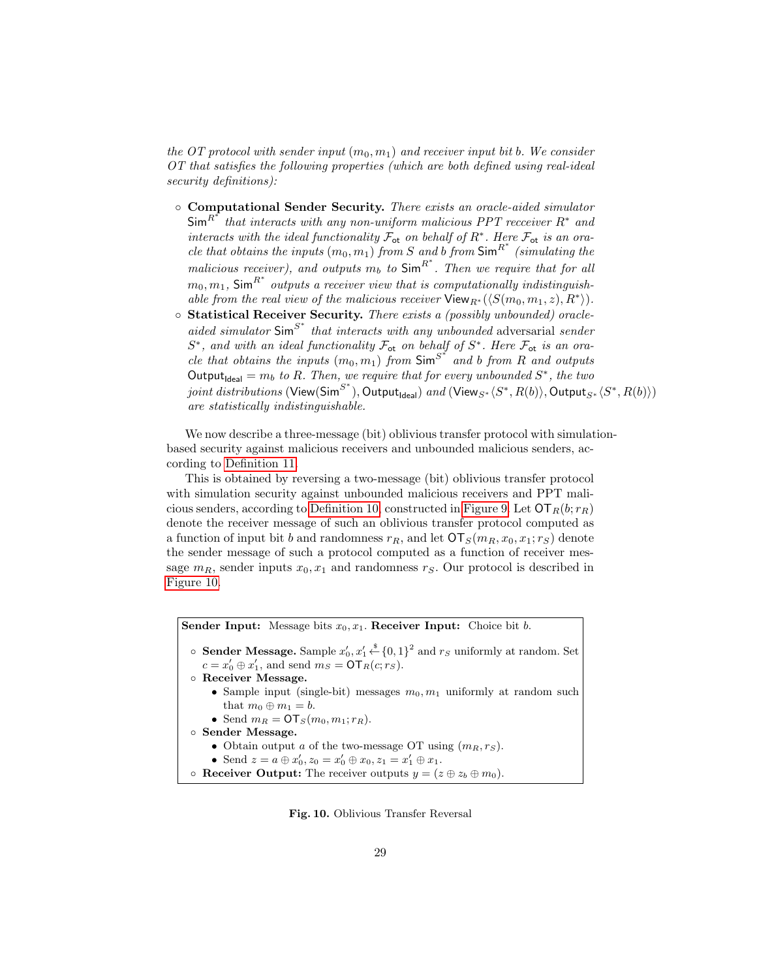the OT protocol with sender input  $(m_0, m_1)$  and receiver input bit b. We consider OT that satisfies the following properties (which are both defined using real-ideal security definitions):

- Computational Sender Security. There exists an oracle-aided simulator  $\textsf{Sim}^{R^*}$  that interacts with any non-uniform malicious PPT recceiver  $R^*$  and interacts with the ideal functionality  $\mathcal{F}_{\text{ot}}$  on behalf of  $R^*$ . Here  $\mathcal{F}_{\text{ot}}$  is an oracle that obtains the inputs  $(m_0, m_1)$  from S and b from Sim<sup>R\*</sup> (simulating the malicious receiver), and outputs  $m_b$  to  $\textsf{Sim}^{\textsf{R}^*}$ . Then we require that for all  $m_0, m_1$ , Sim<sup>R\*</sup> outputs a receiver view that is computationally indistinguishable from the real view of the malicious receiver  $\mathsf{View}_{R^*}(\langle S(m_0, m_1, z), R^* \rangle)$ .
- Statistical Receiver Security. There exists a (possibly unbounded) oracleaided simulator  $Sim^{S^*}$  that interacts with any unbounded adversarial sender  $S^*$ , and with an ideal functionality  $\mathcal{F}_{\text{ot}}$  on behalf of  $S^*$ . Here  $\mathcal{F}_{\text{ot}}$  is an oracle that obtains the inputs  $(m_0, m_1)$  from  $\text{Sim}^{S^*}$  and b from R and outputs Output<sub>deal</sub> =  $m_b$  to R. Then, we require that for every unbounded  $S^*$ , the two joint distributions (View(Sim<sup>S\*</sup>), Output<sub>Ideal</sub>) and (View<sub>S\*</sub>  $\langle S^*, R(b) \rangle$ , Output<sub>S\*</sub>  $\langle S^*, R(b) \rangle$ ) are statistically indistinguishable.

We now describe a three-message (bit) oblivious transfer protocol with simulationbased security against malicious receivers and unbounded malicious senders, according to [Definition 11.](#page-27-1)

This is obtained by reversing a two-message (bit) oblivious transfer protocol with simulation security against unbounded malicious receivers and PPT mali-cious senders, according to [Definition 10,](#page-26-1) constructed in [Figure 9.](#page-27-0) Let  $\mathsf{OT}_R(b; r_R)$ denote the receiver message of such an oblivious transfer protocol computed as a function of input bit b and randomness  $r_R$ , and let  $\sigma T_S(m_R, x_0, x_1; r_S)$  denote the sender message of such a protocol computed as a function of receiver message  $m_R$ , sender inputs  $x_0, x_1$  and randomness  $r_S$ . Our protocol is described in [Figure 10.](#page-28-0)

Sender Input: Message bits  $x_0, x_1$ . Receiver Input: Choice bit b. ○ Sender Message. Sample  $x'_0, x'_1 \stackrel{\$}{\leftarrow} \{0,1\}^2$  and  $r_S$  uniformly at random. Set  $c = x'_0 \oplus x'_1$ , and send  $m_S = \textsf{OT}_R(c; r_S)$ . ◦ Receiver Message. • Sample input (single-bit) messages  $m_0, m_1$  uniformly at random such that  $m_0 \oplus m_1 = b$ . • Send  $m_R = \text{OT}_S(m_0, m_1; r_R)$ . ◦ Sender Message. • Obtain output a of the two-message OT using  $(m_R, r_S)$ . • Send  $z = a \oplus x'_0, z_0 = x'_0 \oplus x_0, z_1 = x'_1 \oplus x_1.$ 

 $\circ$  Receiver Output: The receiver outputs  $y = (z \oplus z_b \oplus m_0)$ .

<span id="page-28-0"></span>Fig. 10. Oblivious Transfer Reversal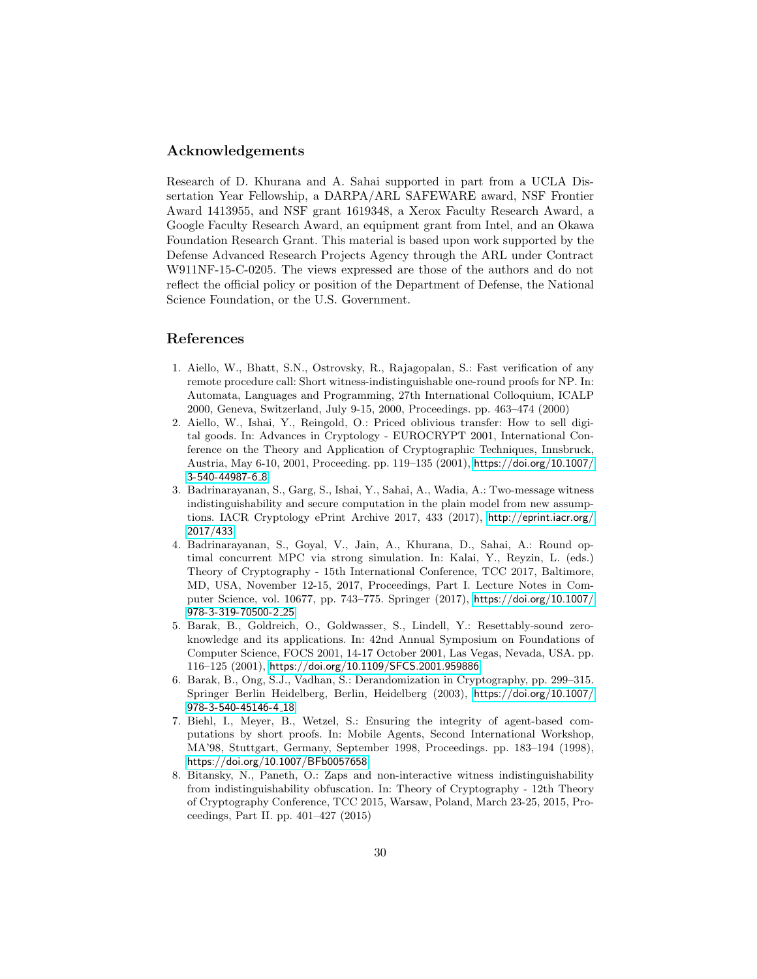## Acknowledgements

Research of D. Khurana and A. Sahai supported in part from a UCLA Dissertation Year Fellowship, a DARPA/ARL SAFEWARE award, NSF Frontier Award 1413955, and NSF grant 1619348, a Xerox Faculty Research Award, a Google Faculty Research Award, an equipment grant from Intel, and an Okawa Foundation Research Grant. This material is based upon work supported by the Defense Advanced Research Projects Agency through the ARL under Contract W911NF-15-C-0205. The views expressed are those of the authors and do not reflect the official policy or position of the Department of Defense, the National Science Foundation, or the U.S. Government.

## References

- <span id="page-29-6"></span>1. Aiello, W., Bhatt, S.N., Ostrovsky, R., Rajagopalan, S.: Fast verification of any remote procedure call: Short witness-indistinguishable one-round proofs for NP. In: Automata, Languages and Programming, 27th International Colloquium, ICALP 2000, Geneva, Switzerland, July 9-15, 2000, Proceedings. pp. 463–474 (2000)
- <span id="page-29-4"></span>2. Aiello, W., Ishai, Y., Reingold, O.: Priced oblivious transfer: How to sell digital goods. In: Advances in Cryptology - EUROCRYPT 2001, International Conference on the Theory and Application of Cryptographic Techniques, Innsbruck, Austria, May 6-10, 2001, Proceeding. pp. 119–135 (2001), [https://doi.org/10.1007/](https://doi.org/10.1007/3-540-44987-6_8) [3-540-44987-6](https://doi.org/10.1007/3-540-44987-6_8).8
- <span id="page-29-5"></span>3. Badrinarayanan, S., Garg, S., Ishai, Y., Sahai, A., Wadia, A.: Two-message witness indistinguishability and secure computation in the plain model from new assumptions. IACR Cryptology ePrint Archive 2017, 433 (2017), [http://eprint.iacr.org/](http://eprint.iacr.org/2017/433) [2017/433](http://eprint.iacr.org/2017/433)
- <span id="page-29-2"></span>4. Badrinarayanan, S., Goyal, V., Jain, A., Khurana, D., Sahai, A.: Round optimal concurrent MPC via strong simulation. In: Kalai, Y., Reyzin, L. (eds.) Theory of Cryptography - 15th International Conference, TCC 2017, Baltimore, MD, USA, November 12-15, 2017, Proceedings, Part I. Lecture Notes in Computer Science, vol. 10677, pp. 743–775. Springer (2017), [https://doi.org/10.1007/](https://doi.org/10.1007/978-3-319-70500-2_25) [978-3-319-70500-2](https://doi.org/10.1007/978-3-319-70500-2_25) 25
- <span id="page-29-7"></span>5. Barak, B., Goldreich, O., Goldwasser, S., Lindell, Y.: Resettably-sound zeroknowledge and its applications. In: 42nd Annual Symposium on Foundations of Computer Science, FOCS 2001, 14-17 October 2001, Las Vegas, Nevada, USA. pp. 116–125 (2001), <https://doi.org/10.1109/SFCS.2001.959886>
- <span id="page-29-0"></span>6. Barak, B., Ong, S.J., Vadhan, S.: Derandomization in Cryptography, pp. 299–315. Springer Berlin Heidelberg, Berlin, Heidelberg (2003), [https://doi.org/10.1007/](https://doi.org/10.1007/978-3-540-45146-4_18) [978-3-540-45146-4](https://doi.org/10.1007/978-3-540-45146-4_18) 18
- <span id="page-29-3"></span>7. Biehl, I., Meyer, B., Wetzel, S.: Ensuring the integrity of agent-based computations by short proofs. In: Mobile Agents, Second International Workshop, MA'98, Stuttgart, Germany, September 1998, Proceedings. pp. 183–194 (1998), <https://doi.org/10.1007/BFb0057658>
- <span id="page-29-1"></span>8. Bitansky, N., Paneth, O.: Zaps and non-interactive witness indistinguishability from indistinguishability obfuscation. In: Theory of Cryptography - 12th Theory of Cryptography Conference, TCC 2015, Warsaw, Poland, March 23-25, 2015, Proceedings, Part II. pp. 401–427 (2015)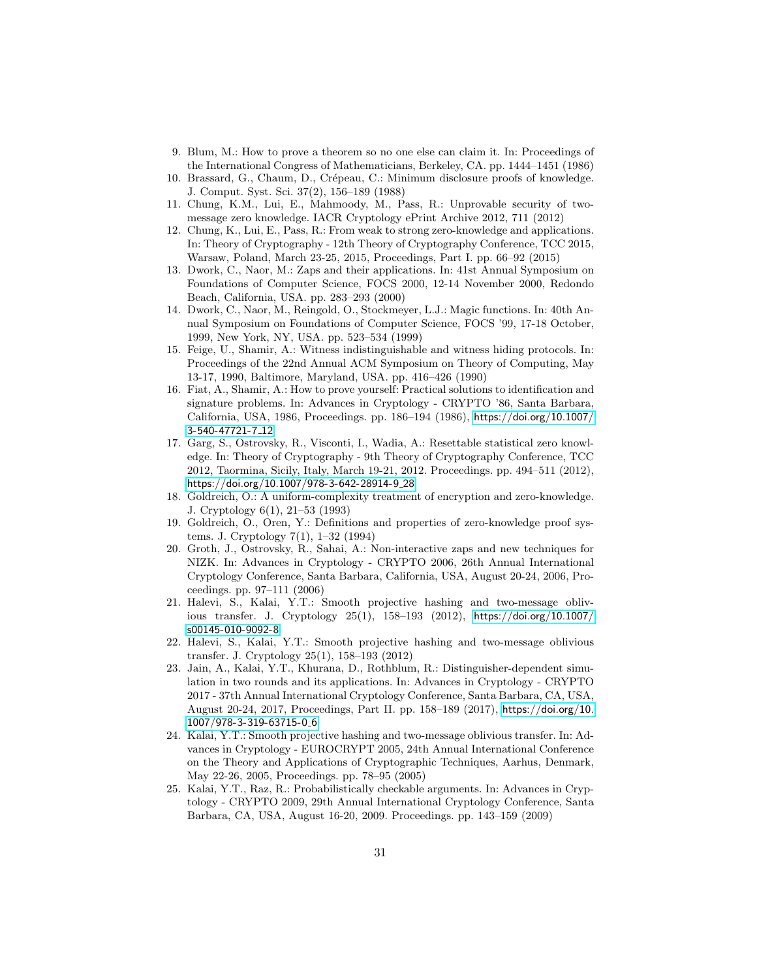- <span id="page-30-12"></span>9. Blum, M.: How to prove a theorem so no one else can claim it. In: Proceedings of the International Congress of Mathematicians, Berkeley, CA. pp. 1444–1451 (1986)
- <span id="page-30-4"></span>10. Brassard, G., Chaum, D., Crépeau, C.: Minimum disclosure proofs of knowledge. J. Comput. Syst. Sci. 37(2), 156–189 (1988)
- <span id="page-30-7"></span>11. Chung, K.M., Lui, E., Mahmoody, M., Pass, R.: Unprovable security of twomessage zero knowledge. IACR Cryptology ePrint Archive 2012, 711 (2012)
- <span id="page-30-16"></span>12. Chung, K., Lui, E., Pass, R.: From weak to strong zero-knowledge and applications. In: Theory of Cryptography - 12th Theory of Cryptography Conference, TCC 2015, Warsaw, Poland, March 23-25, 2015, Proceedings, Part I. pp. 66–92 (2015)
- <span id="page-30-1"></span>13. Dwork, C., Naor, M.: Zaps and their applications. In: 41st Annual Symposium on Foundations of Computer Science, FOCS 2000, 12-14 November 2000, Redondo Beach, California, USA. pp. 283–293 (2000)
- <span id="page-30-15"></span>14. Dwork, C., Naor, M., Reingold, O., Stockmeyer, L.J.: Magic functions. In: 40th Annual Symposium on Foundations of Computer Science, FOCS '99, 17-18 October, 1999, New York, NY, USA. pp. 523–534 (1999)
- <span id="page-30-0"></span>15. Feige, U., Shamir, A.: Witness indistinguishable and witness hiding protocols. In: Proceedings of the 22nd Annual ACM Symposium on Theory of Computing, May 13-17, 1990, Baltimore, Maryland, USA. pp. 416–426 (1990)
- <span id="page-30-11"></span>16. Fiat, A., Shamir, A.: How to prove yourself: Practical solutions to identification and signature problems. In: Advances in Cryptology - CRYPTO '86, Santa Barbara, California, USA, 1986, Proceedings. pp. 186–194 (1986), [https://doi.org/10.1007/](https://doi.org/10.1007/3-540-47721-7_12) [3-540-47721-7](https://doi.org/10.1007/3-540-47721-7_12) 12
- <span id="page-30-10"></span>17. Garg, S., Ostrovsky, R., Visconti, I., Wadia, A.: Resettable statistical zero knowledge. In: Theory of Cryptography - 9th Theory of Cryptography Conference, TCC 2012, Taormina, Sicily, Italy, March 19-21, 2012. Proceedings. pp. 494–511 (2012), [https://doi.org/10.1007/978-3-642-28914-9](https://doi.org/10.1007/978-3-642-28914-9_28) 28
- <span id="page-30-14"></span>18. Goldreich, O.: A uniform-complexity treatment of encryption and zero-knowledge. J. Cryptology 6(1), 21–53 (1993)
- <span id="page-30-5"></span>19. Goldreich, O., Oren, Y.: Definitions and properties of zero-knowledge proof systems. J. Cryptology 7(1), 1–32 (1994)
- <span id="page-30-2"></span>20. Groth, J., Ostrovsky, R., Sahai, A.: Non-interactive zaps and new techniques for NIZK. In: Advances in Cryptology - CRYPTO 2006, 26th Annual International Cryptology Conference, Santa Barbara, California, USA, August 20-24, 2006, Proceedings. pp. 97–111 (2006)
- <span id="page-30-9"></span>21. Halevi, S., Kalai, Y.T.: Smooth projective hashing and two-message oblivious transfer. J. Cryptology 25(1), 158–193 (2012), [https://doi.org/10.1007/](https://doi.org/10.1007/s00145-010-9092-8) [s00145-010-9092-8](https://doi.org/10.1007/s00145-010-9092-8)
- <span id="page-30-13"></span>22. Halevi, S., Kalai, Y.T.: Smooth projective hashing and two-message oblivious transfer. J. Cryptology 25(1), 158–193 (2012)
- <span id="page-30-3"></span>23. Jain, A., Kalai, Y.T., Khurana, D., Rothblum, R.: Distinguisher-dependent simulation in two rounds and its applications. In: Advances in Cryptology - CRYPTO 2017 - 37th Annual International Cryptology Conference, Santa Barbara, CA, USA, August 20-24, 2017, Proceedings, Part II. pp. 158–189 (2017), [https://doi.org/10.](https://doi.org/10.1007/978-3-319-63715-0_6) [1007/978-3-319-63715-0](https://doi.org/10.1007/978-3-319-63715-0_6) 6
- <span id="page-30-8"></span>24. Kalai, Y.T.: Smooth projective hashing and two-message oblivious transfer. In: Advances in Cryptology - EUROCRYPT 2005, 24th Annual International Conference on the Theory and Applications of Cryptographic Techniques, Aarhus, Denmark, May 22-26, 2005, Proceedings. pp. 78–95 (2005)
- <span id="page-30-6"></span>25. Kalai, Y.T., Raz, R.: Probabilistically checkable arguments. In: Advances in Cryptology - CRYPTO 2009, 29th Annual International Cryptology Conference, Santa Barbara, CA, USA, August 16-20, 2009. Proceedings. pp. 143–159 (2009)